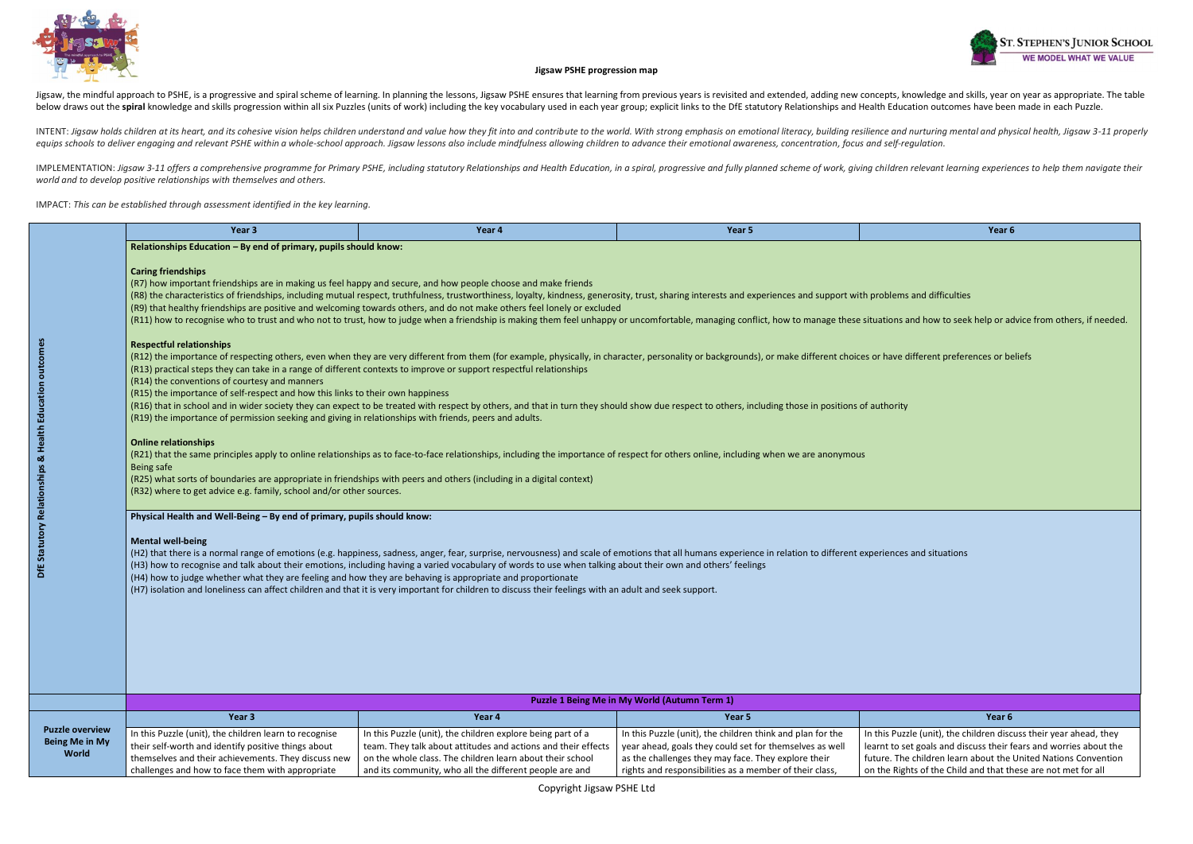

and how to seek help or advice from others, if needed.

different preferences or beliefs

zle (unit), the children discuss their year ahead, they let goals and discuss their fears and worries about the e children learn about the United Nations Convention hts of the Child and that these are not met for all



### **Jigsaw PSHE progression map**

Jigsaw, the mindful approach to PSHE, is a progressive and spiral scheme of learning. In planning the lessons, Jigsaw PSHE ensures that learning from previous years is revisited and extended, adding new concepts, knowledge below draws out the spiral knowledge and skills progression within all six Puzzles (units of work) including the key vocabulary used in each year group; explicit links to the DfE statutory Relationships and Health Educatio

INTENT: Jigsaw holds children at its heart, and its cohesive vision helps children understand and value how they fit into and contribute to the world. With strong emphasis on emotional literacy, building resilience and nur equips schools to deliver engaging and relevant PSHE within a whole-school approach. Jigsaw lessons also include mindfulness allowing children to advance their emotional awareness, concentration, focus and self-regulation.

IMPLEMENTATION: Jigsaw 3-11 offers a comprehensive programme for Primary PSHE, including statutory Relationships and Health Education, in a spiral, progressive and fully planned scheme of work, giving children relevant lea *world and to develop positive relationships with themselves and others.* 

IMPACT: *This can be established through assessment identified in the key learning.*

|                                                                 | Year 3                                                                                                                                                                                                                                                                                                                                                                                                                            | Year 4                                                                                                                                                                                                                                                                                                                                                                                                                                                                                                                                                                                                                                                                                  | Year 5                                                                                                                                                                       | Year 6                                                                                                                      |  |
|-----------------------------------------------------------------|-----------------------------------------------------------------------------------------------------------------------------------------------------------------------------------------------------------------------------------------------------------------------------------------------------------------------------------------------------------------------------------------------------------------------------------|-----------------------------------------------------------------------------------------------------------------------------------------------------------------------------------------------------------------------------------------------------------------------------------------------------------------------------------------------------------------------------------------------------------------------------------------------------------------------------------------------------------------------------------------------------------------------------------------------------------------------------------------------------------------------------------------|------------------------------------------------------------------------------------------------------------------------------------------------------------------------------|-----------------------------------------------------------------------------------------------------------------------------|--|
|                                                                 | Relationships Education - By end of primary, pupils should know:                                                                                                                                                                                                                                                                                                                                                                  |                                                                                                                                                                                                                                                                                                                                                                                                                                                                                                                                                                                                                                                                                         |                                                                                                                                                                              |                                                                                                                             |  |
|                                                                 | <b>Caring friendships</b><br><b>Respectful relationships</b>                                                                                                                                                                                                                                                                                                                                                                      | (R7) how important friendships are in making us feel happy and secure, and how people choose and make friends<br>(R8) the characteristics of friendships, including mutual respect, truthfulness, trustworthiness, loyalty, kindness, generosity, trust, sharing interests and experiences and support with problems and difficulties<br>(R9) that healthy friendships are positive and welcoming towards others, and do not make others feel lonely or excluded<br>(R11) how to recognise who to trust and who not to trust, how to judge when a friendship is making them feel unhappy or uncomfortable, managing conflict, how to manage these situations and how to seek help or ad |                                                                                                                                                                              |                                                                                                                             |  |
| DfE Statutory Relationships & Health Education outcomes         | (R14) the conventions of courtesy and manners<br>(R15) the importance of self-respect and how this links to their own happiness<br>(R19) the importance of permission seeking and giving in relationships with friends, peers and adults.                                                                                                                                                                                         | (R12) the importance of respecting others, even when they are very different from them (for example, physically, in character, personality or backgrounds), or make different choices or have different preferences or be<br>(R13) practical steps they can take in a range of different contexts to improve or support respectful relationships<br>(R16) that in school and in wider society they can expect to be treated with respect by others, and that in turn they should show due respect to others, including those in positions of authority                                                                                                                                  |                                                                                                                                                                              |                                                                                                                             |  |
|                                                                 | <b>Online relationships</b><br>(R21) that the same principles apply to online relationships as to face-to-face relationships, including the importance of respect for others online, including when we are anonymous<br>Being safe<br>(R25) what sorts of boundaries are appropriate in friendships with peers and others (including in a digital context)<br>(R32) where to get advice e.g. family, school and/or other sources. |                                                                                                                                                                                                                                                                                                                                                                                                                                                                                                                                                                                                                                                                                         |                                                                                                                                                                              |                                                                                                                             |  |
|                                                                 | Physical Health and Well-Being - By end of primary, pupils should know:<br><b>Mental well-being</b><br>(H4) how to judge whether what they are feeling and how they are behaving is appropriate and proportionate                                                                                                                                                                                                                 | (H2) that there is a normal range of emotions (e.g. happiness, sadness, anger, fear, surprise, nervousness) and scale of emotions that all humans experience in relation to different experiences and situations<br>(H3) how to recognise and talk about their emotions, including having a varied vocabulary of words to use when talking about their own and others' feelings<br>(H7) isolation and loneliness can affect children and that it is very important for children to discuss their feelings with an adult and seek support.                                                                                                                                               |                                                                                                                                                                              |                                                                                                                             |  |
|                                                                 |                                                                                                                                                                                                                                                                                                                                                                                                                                   |                                                                                                                                                                                                                                                                                                                                                                                                                                                                                                                                                                                                                                                                                         | Puzzle 1 Being Me in My World (Autumn Term 1)                                                                                                                                |                                                                                                                             |  |
|                                                                 | Year 3                                                                                                                                                                                                                                                                                                                                                                                                                            | Year 4                                                                                                                                                                                                                                                                                                                                                                                                                                                                                                                                                                                                                                                                                  | Year 5                                                                                                                                                                       | Year 6                                                                                                                      |  |
| <b>Puzzle overview</b><br><b>Being Me in My</b><br><b>World</b> | In this Puzzle (unit), the children learn to recognise<br>their self-worth and identify positive things about<br>themselves and their achievements. They discuss new                                                                                                                                                                                                                                                              | In this Puzzle (unit), the children explore being part of a<br>team. They talk about attitudes and actions and their effects<br>on the whole class. The children learn about their school                                                                                                                                                                                                                                                                                                                                                                                                                                                                                               | In this Puzzle (unit), the children think and plan for the<br>year ahead, goals they could set for themselves as well<br>as the challenges they may face. They explore their | In this Puzzle (unit), the children disc<br>learnt to set goals and discuss their f<br>future. The children learn about the |  |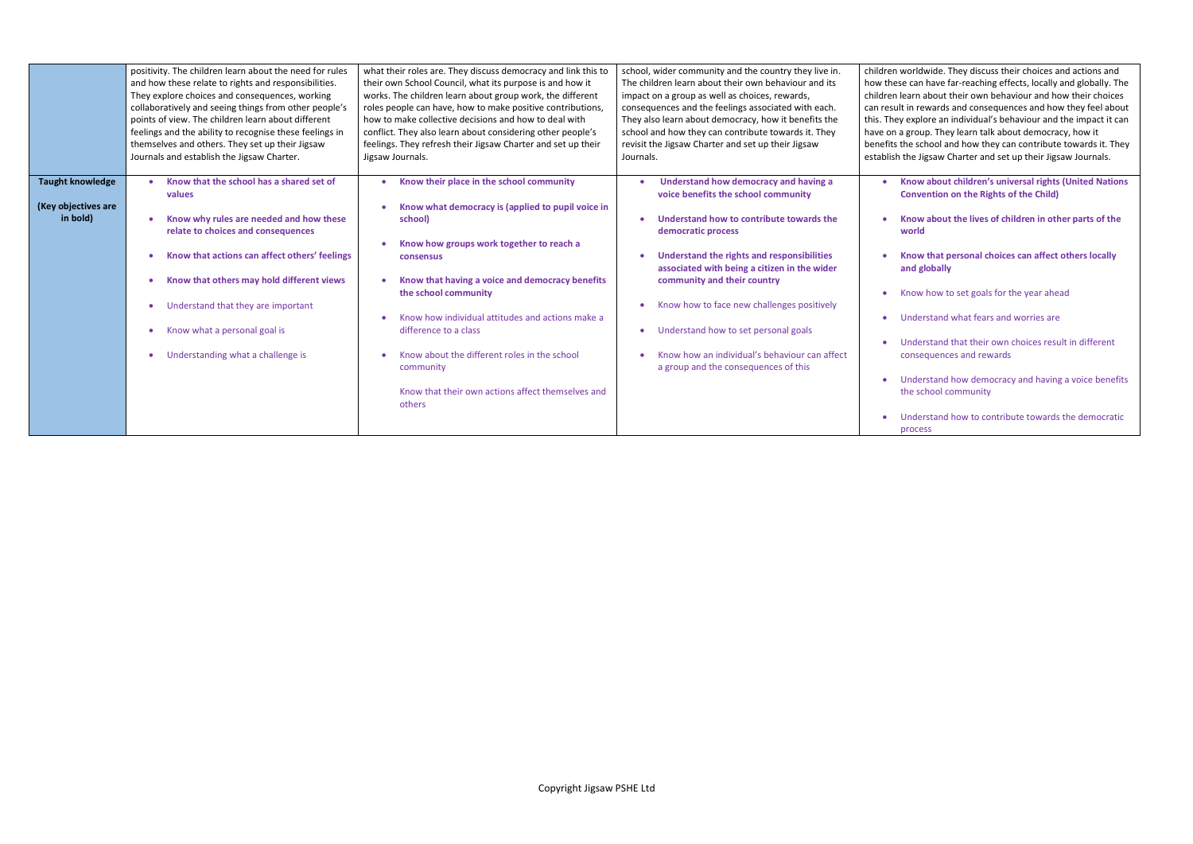worldwide. They discuss their choices and actions and se can have far-reaching effects, locally and globally. The learn about their own behaviour and how their choices It in rewards and consequences and how they feel about y explore an individual's behaviour and the impact it can a group. They learn talk about democracy, how it the school and how they can contribute towards it. They the Jigsaw Charter and set up their Jigsaw Journals.

|                                                            | positivity. The children learn about the need for rules                                                                                                                                                                                                                                                                                      | what their roles are. They discuss democracy and link this to                                                                                                                                                                                                                                                                                                                                                                                                | school, wider community and the country they live in.                                                                                                                                                                                                                                                                                                                                                                                                      | children v |
|------------------------------------------------------------|----------------------------------------------------------------------------------------------------------------------------------------------------------------------------------------------------------------------------------------------------------------------------------------------------------------------------------------------|--------------------------------------------------------------------------------------------------------------------------------------------------------------------------------------------------------------------------------------------------------------------------------------------------------------------------------------------------------------------------------------------------------------------------------------------------------------|------------------------------------------------------------------------------------------------------------------------------------------------------------------------------------------------------------------------------------------------------------------------------------------------------------------------------------------------------------------------------------------------------------------------------------------------------------|------------|
|                                                            | and how these relate to rights and responsibilities.                                                                                                                                                                                                                                                                                         | their own School Council, what its purpose is and how it                                                                                                                                                                                                                                                                                                                                                                                                     | The children learn about their own behaviour and its                                                                                                                                                                                                                                                                                                                                                                                                       | how thes   |
|                                                            | They explore choices and consequences, working                                                                                                                                                                                                                                                                                               | works. The children learn about group work, the different                                                                                                                                                                                                                                                                                                                                                                                                    | impact on a group as well as choices, rewards,                                                                                                                                                                                                                                                                                                                                                                                                             | children I |
|                                                            | collaboratively and seeing things from other people's                                                                                                                                                                                                                                                                                        | roles people can have, how to make positive contributions,                                                                                                                                                                                                                                                                                                                                                                                                   | consequences and the feelings associated with each.                                                                                                                                                                                                                                                                                                                                                                                                        | can resul  |
|                                                            | points of view. The children learn about different                                                                                                                                                                                                                                                                                           | how to make collective decisions and how to deal with                                                                                                                                                                                                                                                                                                                                                                                                        | They also learn about democracy, how it benefits the                                                                                                                                                                                                                                                                                                                                                                                                       | this. They |
|                                                            | feelings and the ability to recognise these feelings in                                                                                                                                                                                                                                                                                      | conflict. They also learn about considering other people's                                                                                                                                                                                                                                                                                                                                                                                                   | school and how they can contribute towards it. They                                                                                                                                                                                                                                                                                                                                                                                                        | have on a  |
|                                                            | themselves and others. They set up their Jigsaw                                                                                                                                                                                                                                                                                              | feelings. They refresh their Jigsaw Charter and set up their                                                                                                                                                                                                                                                                                                                                                                                                 | revisit the Jigsaw Charter and set up their Jigsaw                                                                                                                                                                                                                                                                                                                                                                                                         | benefits t |
|                                                            | Journals and establish the Jigsaw Charter.                                                                                                                                                                                                                                                                                                   | Jigsaw Journals.                                                                                                                                                                                                                                                                                                                                                                                                                                             | Journals.                                                                                                                                                                                                                                                                                                                                                                                                                                                  | establish  |
| <b>Taught knowledge</b><br>(Key objectives are<br>in bold) | Know that the school has a shared set of<br>values<br>Know why rules are needed and how these<br>relate to choices and consequences<br>Know that actions can affect others' feelings<br>Know that others may hold different views<br>Understand that they are important<br>Know what a personal goal is<br>Understanding what a challenge is | Know their place in the school community<br>Know what democracy is (applied to pupil voice in<br>school)<br>Know how groups work together to reach a<br><b>consensus</b><br>Know that having a voice and democracy benefits<br>the school community<br>Know how individual attitudes and actions make a<br>difference to a class<br>Know about the different roles in the school<br>community<br>Know that their own actions affect themselves and<br>others | Understand how democracy and having a<br>voice benefits the school community<br>Understand how to contribute towards the<br>democratic process<br>Understand the rights and responsibilities<br>associated with being a citizen in the wider<br>community and their country<br>Know how to face new challenges positively<br>Understand how to set personal goals<br>Know how an individual's behaviour can affect<br>a group and the consequences of this |            |

• **Know about children's universal rights (United Nations Convention on the Rights of the Child)** 

- **Know about the lives of children in other parts of the world**
- **Know that personal choices can affect others locally and globally**
- Know how to set goals for the year ahead
- Understand what fears and worries are
- Understand that their own choices result in different consequences and rewards
- Understand how democracy and having a voice benefits the school community
- Understand how to contribute towards the democratic process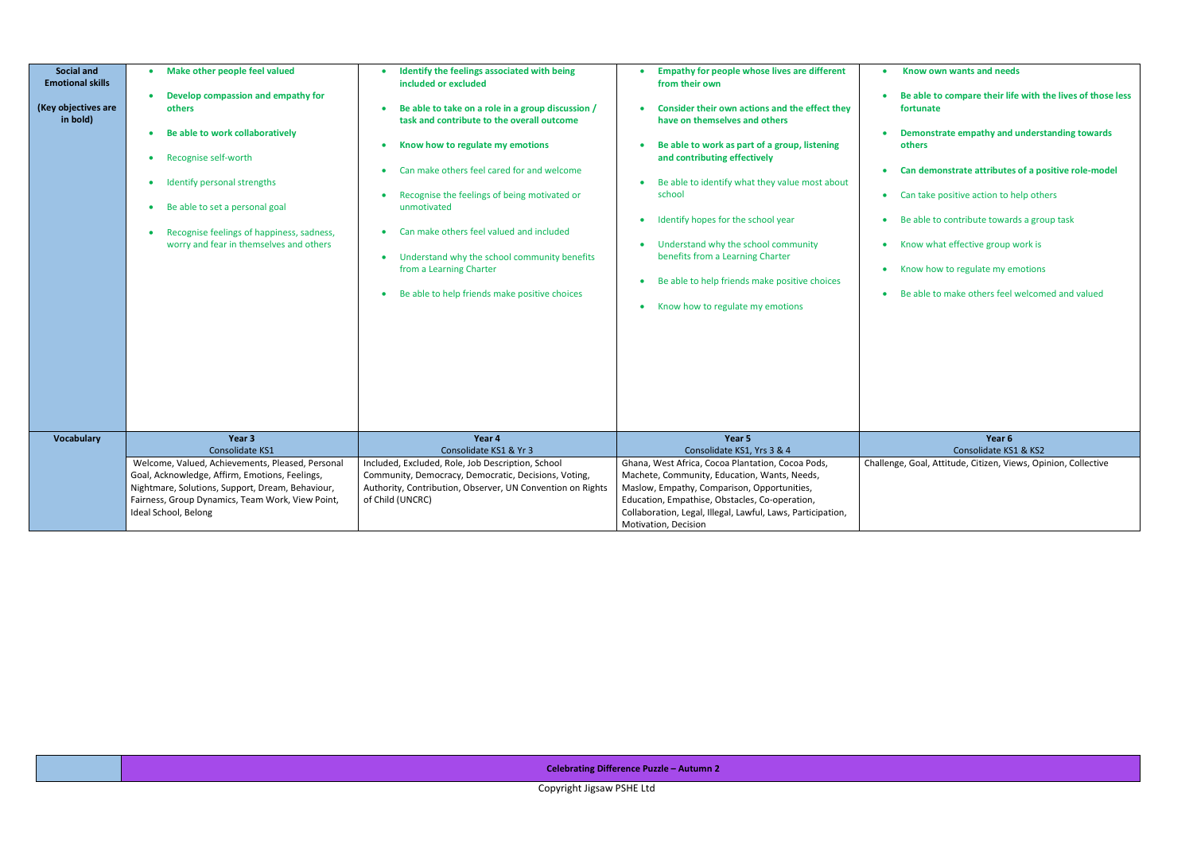Copyright Jigsaw PSHE Ltd

| <b>Social and</b><br><b>Emotional skills</b><br>(Key objectives are<br>in bold) | Make other people feel valued<br>Develop compassion and empathy for<br>others<br>Be able to work collaboratively<br>Recognise self-worth<br>Identify personal strengths<br>$\bullet$<br>Be able to set a personal goal<br>$\bullet$<br>Recognise feelings of happiness, sadness,<br>$\bullet$<br>worry and fear in themselves and others | Identify the feelings associated with being<br>included or excluded<br>Be able to take on a role in a group discussion /<br>$\bullet$<br>task and contribute to the overall outcome<br>Know how to regulate my emotions<br>Can make others feel cared for and welcome<br>Recognise the feelings of being motivated or<br>$\bullet$<br>unmotivated<br>Can make others feel valued and included<br>Understand why the school community benefits<br>$\bullet$<br>from a Learning Charter<br>Be able to help friends make positive choices | <b>Empathy for people whose lives are different</b><br>from their own<br>Consider their own actions and the effect they<br>have on themselves and others<br>Be able to work as part of a group, listening<br>and contributing effectively<br>Be able to identify what they value most about<br>school<br>Identify hopes for the school year<br>$\bullet$<br>Understand why the school community<br>benefits from a Learning Charter<br>Be able to help friends make positive choices<br>Know how to regulate my emotions | B<br>$\mathbf f$<br>D<br>$\mathbf 0$<br>$\bullet$ C<br>$\bullet$ $\bullet$ $\bullet$<br>$\bullet$ B<br>$\bullet$ K<br>– K<br>B |
|---------------------------------------------------------------------------------|------------------------------------------------------------------------------------------------------------------------------------------------------------------------------------------------------------------------------------------------------------------------------------------------------------------------------------------|----------------------------------------------------------------------------------------------------------------------------------------------------------------------------------------------------------------------------------------------------------------------------------------------------------------------------------------------------------------------------------------------------------------------------------------------------------------------------------------------------------------------------------------|--------------------------------------------------------------------------------------------------------------------------------------------------------------------------------------------------------------------------------------------------------------------------------------------------------------------------------------------------------------------------------------------------------------------------------------------------------------------------------------------------------------------------|--------------------------------------------------------------------------------------------------------------------------------|
| <b>Vocabulary</b>                                                               | Year 3<br>Consolidate KS1<br>Welcome, Valued, Achievements, Pleased, Personal<br>Goal, Acknowledge, Affirm, Emotions, Feelings,<br>Nightmare, Solutions, Support, Dream, Behaviour,<br>Fairness, Group Dynamics, Team Work, View Point,<br>Ideal School, Belong                                                                          | Year 4<br>Consolidate KS1 & Yr 3<br>Included, Excluded, Role, Job Description, School<br>Community, Democracy, Democratic, Decisions, Voting,<br>Authority, Contribution, Observer, UN Convention on Rights<br>of Child (UNCRC)                                                                                                                                                                                                                                                                                                        | Year 5<br>Consolidate KS1, Yrs 3 & 4<br>Ghana, West Africa, Cocoa Plantation, Cocoa Pods,<br>Machete, Community, Education, Wants, Needs,<br>Maslow, Empathy, Comparison, Opportunities,<br>Education, Empathise, Obstacles, Co-operation,<br>Collaboration, Legal, Illegal, Lawful, Laws, Participation,                                                                                                                                                                                                                | Challenge                                                                                                                      |

|   | Know own wants and needs                                                |
|---|-------------------------------------------------------------------------|
|   | Be able to compare their life with the lives of those less<br>fortunate |
|   | Demonstrate empathy and understanding towards<br>others                 |
|   | Can demonstrate attributes of a positive role-model                     |
|   | Can take positive action to help others                                 |
| ۰ | Be able to contribute towards a group task                              |
|   | Know what effective group work is                                       |
|   | Know how to regulate my emotions                                        |
|   | Be able to make others feel welcomed and valued                         |
|   |                                                                         |
|   |                                                                         |
|   |                                                                         |
|   |                                                                         |
|   |                                                                         |
|   | Year <sub>6</sub>                                                       |
|   | Consolidate KS1 & KS2                                                   |
|   | Challenge, Goal, Attitude, Citizen, Views, Opinion, Collective          |
|   |                                                                         |

**Celebrating Difference Puzzle – Autumn 2**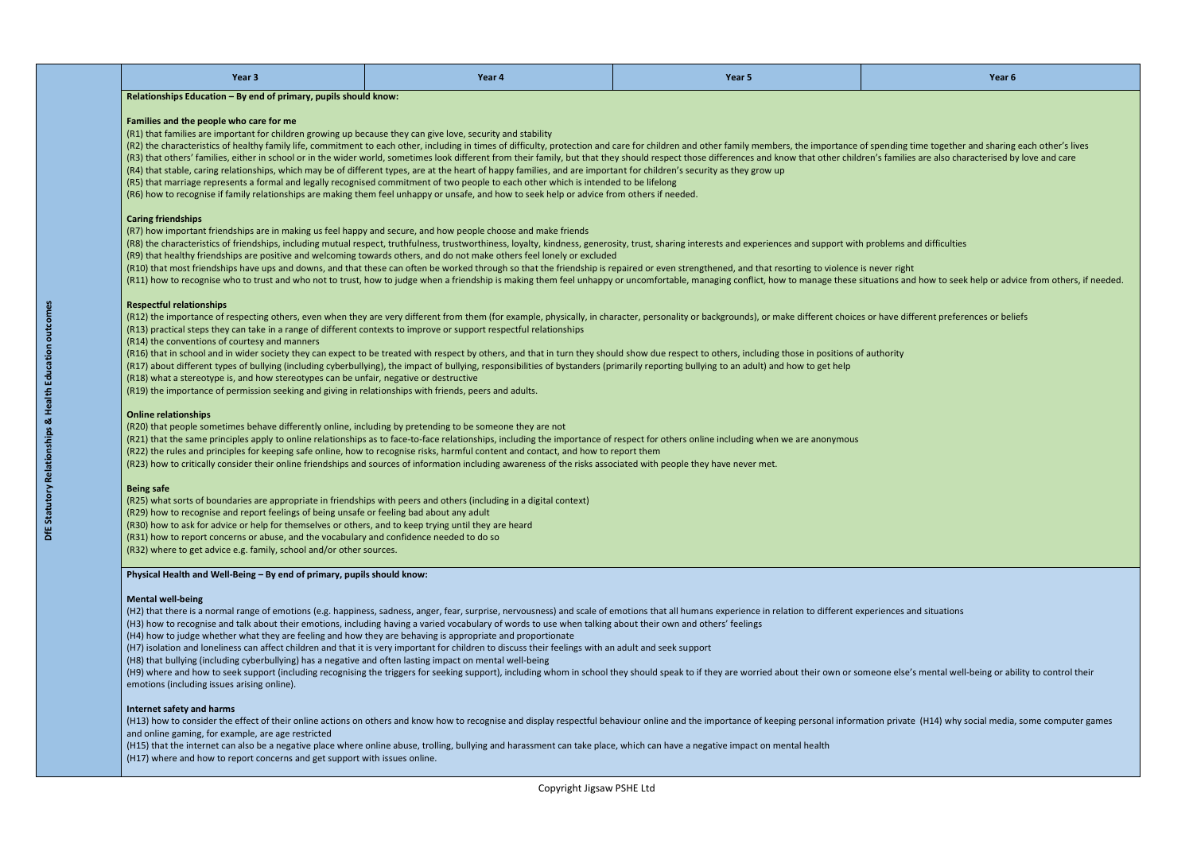| Year 3 | Year 4 | <b>Contract Contract Contract Contract Contract Contract Contract Contract Contract Contract Contract Contract Co</b><br>Year 5 | .<br>. |
|--------|--------|---------------------------------------------------------------------------------------------------------------------------------|--------|
|--------|--------|---------------------------------------------------------------------------------------------------------------------------------|--------|

**Relationships Education – By end of primary, pupils should know:**

### **Families and the people who care for me**

(R1) that families are important for children growing up because they can give love, security and stability

(R2) the characteristics of healthy family life, commitment to each other, including in times of difficulty, protection and care for children and other family members, the importance of spending time together and sharing e (R3) that others' families, either in school or in the wider world, sometimes look different from their family, but that they should respect those differences and know that other children's families are also characterised

(R4) that stable, caring relationships, which may be of different types, are at the heart of happy families, and are important for children's security as they grow up

(R5) that marriage represents a formal and legally recognised commitment of two people to each other which is intended to be lifelong

(R6) how to recognise if family relationships are making them feel unhappy or unsafe, and how to seek help or advice from others if needed.

### **Caring friendships**

(R7) how important friendships are in making us feel happy and secure, and how people choose and make friends

(R8) the characteristics of friendships, including mutual respect, truthfulness, trustworthiness, loyalty, kindness, generosity, trust, sharing interests and experiences and support with problems and difficulties (R9) that healthy friendships are positive and welcoming towards others, and do not make others feel lonely or excluded

(R10) that most friendships have ups and downs, and that these can often be worked through so that the friendship is repaired or even strengthened, and that resorting to violence is never right (R11) how to recognise who to trust and who not to trust, how to judge when a friendship is making them feel unhappy or uncomfortable, managing conflict, how to manage these situations and how to seek help or advice from o

## **Respectful relationships**

(R12) the importance of respecting others, even when they are very different from them (for example, physically, in character, personality or backgrounds), or make different choices or have different preferences or beliefs (R13) practical steps they can take in a range of different contexts to improve or support respectful relationships

(R14) the conventions of courtesy and manners

(R16) that in school and in wider society they can expect to be treated with respect by others, and that in turn they should show due respect to others, including those in positions of authority

(H9) where and how to seek support (including recognising the triggers for seeking support), including whom in school they should speak to if they are worried about their own or someone else's mental well-being or ability emotions (including issues arising online).

(H13) how to consider the effect of their online actions on others and know how to recognise and display respectful behaviour online and the importance of keeping personal information private (H14) why social media, some c and online gaming, for example, are age restricted

(R17) about different types of bullying (including cyberbullying), the impact of bullying, responsibilities of bystanders (primarily reporting bullying to an adult) and how to get help

(R18) what a stereotype is, and how stereotypes can be unfair, negative or destructive

(R19) the importance of permission seeking and giving in relationships with friends, peers and adults.

### **Online relationships**

(R20) that people sometimes behave differently online, including by pretending to be someone they are not

(R21) that the same principles apply to online relationships as to face-to-face relationships, including the importance of respect for others online including when we are anonymous

(R22) the rules and principles for keeping safe online, how to recognise risks, harmful content and contact, and how to report them

(R23) how to critically consider their online friendships and sources of information including awareness of the risks associated with people they have never met.

### **Being safe**

(R25) what sorts of boundaries are appropriate in friendships with peers and others (including in a digital context)

(R29) how to recognise and report feelings of being unsafe or feeling bad about any adult

- (R30) how to ask for advice or help for themselves or others, and to keep trying until they are heard
- (R31) how to report concerns or abuse, and the vocabulary and confidence needed to do so
- (R32) where to get advice e.g. family, school and/or other sources.

# **Physical Health and Well-Being – By end of primary, pupils should know:**

### **Mental well-being**

(H2) that there is a normal range of emotions (e.g. happiness, sadness, anger, fear, surprise, nervousness) and scale of emotions that all humans experience in relation to different experiences and situations (H3) how to recognise and talk about their emotions, including having a varied vocabulary of words to use when talking about their own and others' feelings

(H4) how to judge whether what they are feeling and how they are behaving is appropriate and proportionate

(H7) isolation and loneliness can affect children and that it is very important for children to discuss their feelings with an adult and seek support

(H8) that bullying (including cyberbullying) has a negative and often lasting impact on mental well-being

### **Internet safety and harms**

(H15) that the internet can also be a negative place where online abuse, trolling, bullying and harassment can take place, which can have a negative impact on mental health (H17) where and how to report concerns and get support with issues online.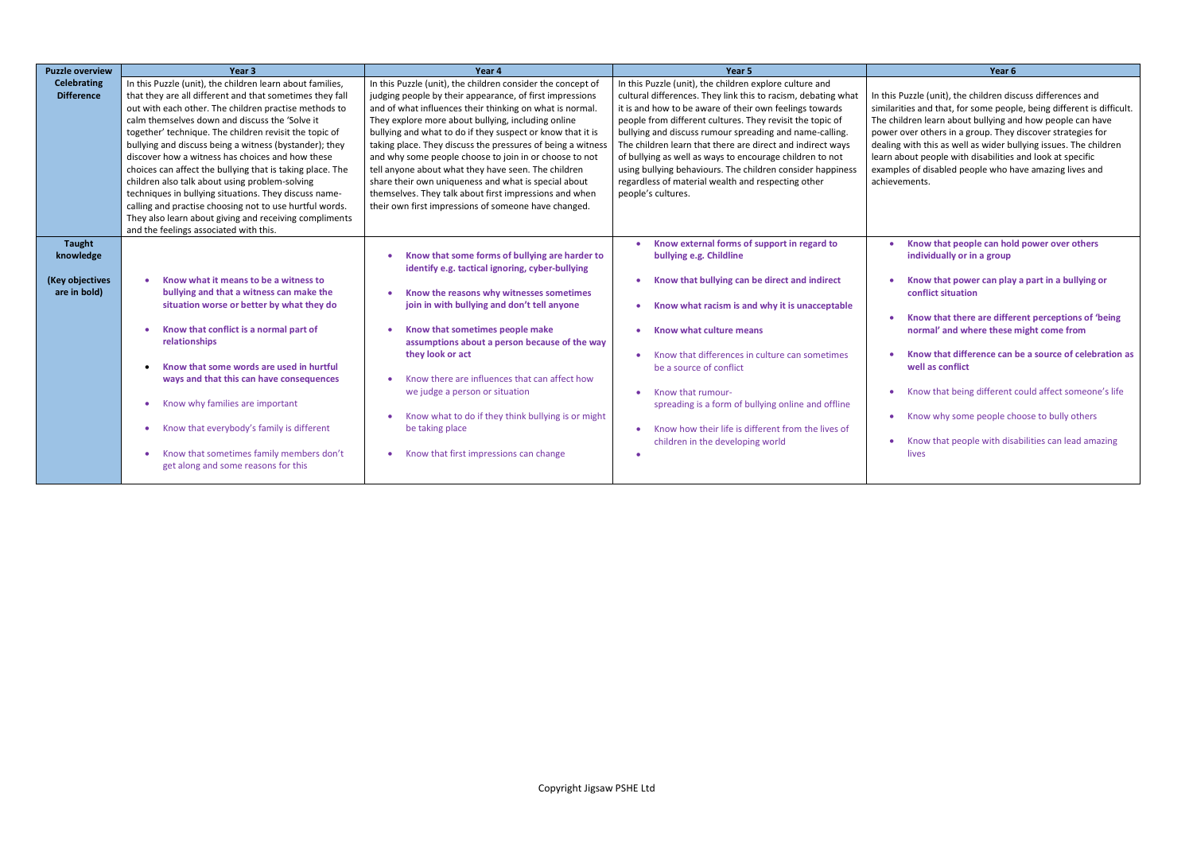Puzzle (unit), the children discuss differences and ties and that, for some people, being different is difficult. Idren learn about bullying and how people can have over others in a group. They discover strategies for with this as well as wider bullying issues. The children bout people with disabilities and look at specific les of disabled people who have amazing lives and ements.

| <b>Puzzle overview</b>                                        | Year <sub>3</sub>                                                                                                                                                                                                                                                                                                                                                                                                                                                                                                                                                                                                                                                                                                                               | Year 4                                                                                                                                                                                                                                                                                                                                                                                                                                                                                                                                                                                                                                                            | Year <sub>5</sub>                                                                                                                                                                                                                                                                                                                                                                                                                                                                                                                                                               | Year 6                                                                                                                                                                                                                                                                                                           |
|---------------------------------------------------------------|-------------------------------------------------------------------------------------------------------------------------------------------------------------------------------------------------------------------------------------------------------------------------------------------------------------------------------------------------------------------------------------------------------------------------------------------------------------------------------------------------------------------------------------------------------------------------------------------------------------------------------------------------------------------------------------------------------------------------------------------------|-------------------------------------------------------------------------------------------------------------------------------------------------------------------------------------------------------------------------------------------------------------------------------------------------------------------------------------------------------------------------------------------------------------------------------------------------------------------------------------------------------------------------------------------------------------------------------------------------------------------------------------------------------------------|---------------------------------------------------------------------------------------------------------------------------------------------------------------------------------------------------------------------------------------------------------------------------------------------------------------------------------------------------------------------------------------------------------------------------------------------------------------------------------------------------------------------------------------------------------------------------------|------------------------------------------------------------------------------------------------------------------------------------------------------------------------------------------------------------------------------------------------------------------------------------------------------------------|
| <b>Celebrating</b><br><b>Difference</b>                       | In this Puzzle (unit), the children learn about families,<br>that they are all different and that sometimes they fall<br>out with each other. The children practise methods to<br>calm themselves down and discuss the 'Solve it<br>together' technique. The children revisit the topic of<br>bullying and discuss being a witness (bystander); they<br>discover how a witness has choices and how these<br>choices can affect the bullying that is taking place. The<br>children also talk about using problem-solving<br>techniques in bullying situations. They discuss name-<br>calling and practise choosing not to use hurtful words.<br>They also learn about giving and receiving compliments<br>and the feelings associated with this. | In this Puzzle (unit), the children consider the concept of<br>judging people by their appearance, of first impressions<br>and of what influences their thinking on what is normal.<br>They explore more about bullying, including online<br>bullying and what to do if they suspect or know that it is<br>taking place. They discuss the pressures of being a witness<br>and why some people choose to join in or choose to not<br>tell anyone about what they have seen. The children<br>share their own uniqueness and what is special about<br>themselves. They talk about first impressions and when<br>their own first impressions of someone have changed. | In this Puzzle (unit), the children explore culture and<br>cultural differences. They link this to racism, debating what<br>it is and how to be aware of their own feelings towards<br>people from different cultures. They revisit the topic of<br>bullying and discuss rumour spreading and name-calling.<br>The children learn that there are direct and indirect ways<br>of bullying as well as ways to encourage children to not<br>using bullying behaviours. The children consider happiness<br>regardless of material wealth and respecting other<br>people's cultures. | In this Puzzle (unit), the children dis<br>similarities and that, for some peop<br>The children learn about bullying ar<br>power over others in a group. They<br>dealing with this as well as wider bu<br>learn about people with disabilities<br>examples of disabled people who h<br>achievements.             |
| <b>Taught</b><br>knowledge<br>(Key objectives<br>are in bold) | Know what it means to be a witness to<br>$\bullet$<br>bullying and that a witness can make the<br>situation worse or better by what they do<br>Know that conflict is a normal part of<br>$\bullet$<br>relationships<br>Know that some words are used in hurtful<br>$\bullet$<br>ways and that this can have consequences<br>Know why families are important<br>$\bullet$<br>Know that everybody's family is different<br>Know that sometimes family members don't<br>$\bullet$<br>get along and some reasons for this                                                                                                                                                                                                                           | Know that some forms of bullying are harder to<br>identify e.g. tactical ignoring, cyber-bullying<br>Know the reasons why witnesses sometimes<br>join in with bullying and don't tell anyone<br>Know that sometimes people make<br>assumptions about a person because of the way<br>they look or act<br>Know there are influences that can affect how<br>we judge a person or situation<br>Know what to do if they think bullying is or might<br>be taking place<br>Know that first impressions can change                                                                                                                                                        | Know external forms of support in regard to<br>bullying e.g. Childline<br>Know that bullying can be direct and indirect<br>Know what racism is and why it is unacceptable<br>Know what culture means<br>Know that differences in culture can sometimes<br>be a source of conflict<br>Know that rumour-<br>spreading is a form of bullying online and offline<br>Know how their life is different from the lives of<br>children in the developing world                                                                                                                          | Know that people can hol<br>individually or in a group<br>Know that power can play<br>conflict situation<br>Know that there are differ<br>normal' and where these<br>Know that difference can<br>well as conflict<br>Know that being different<br>Know why some people ch<br>Know that people with disa<br>lives |

- **Know that people can hold power over others individually or in a group**
- **Know that power can play a part in a bullying or conflict situation**
- **Know that there are different perceptions of 'being normal' and where these might come from**
- **Know that difference can be a source of celebration as well as conflict**
- Know that being different could affect someone's life
- Know why some people choose to bully others
- Know that people with disabilities can lead amazing lives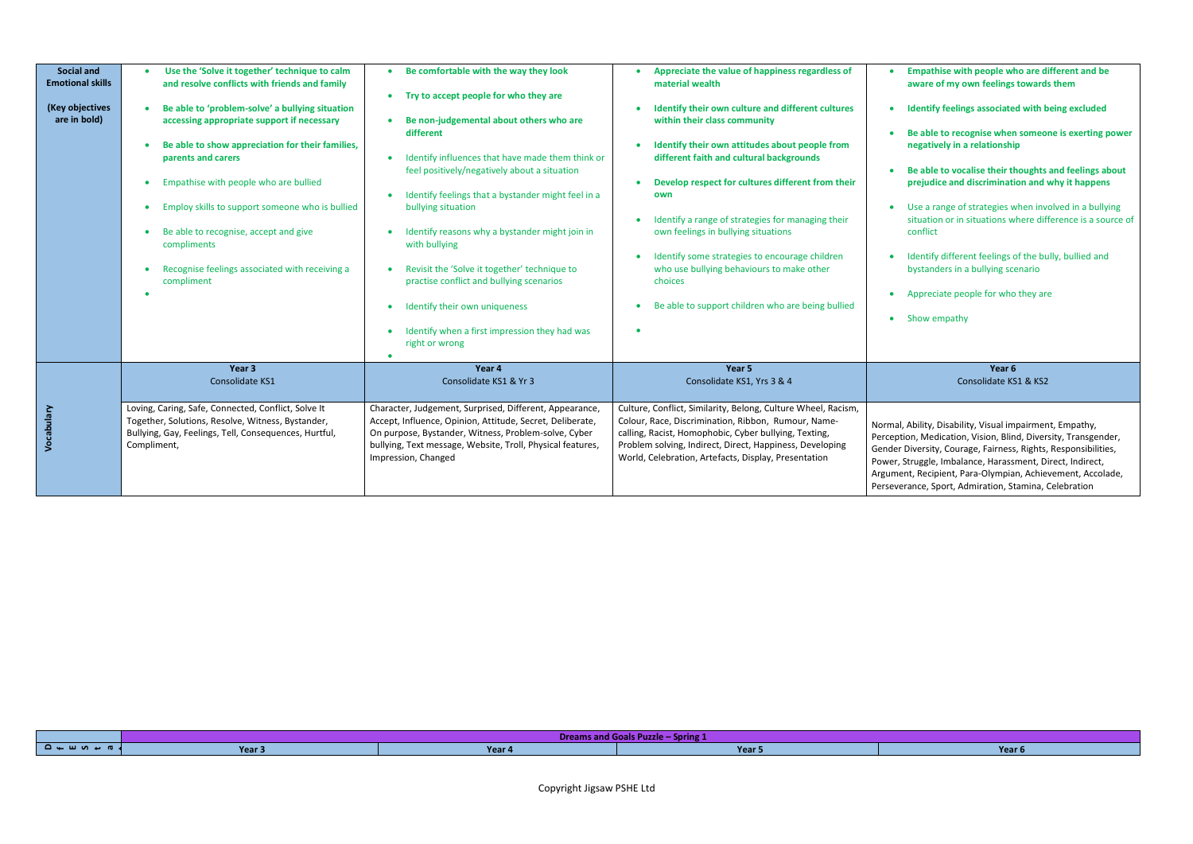| <b>Social and</b><br><b>Emotional skills</b><br>(Key objectives<br>are in bold) | Use the 'Solve it together' technique to calm<br>and resolve conflicts with friends and family<br>Be able to 'problem-solve' a bullying situation<br>accessing appropriate support if necessary<br>Be able to show appreciation for their families,<br>parents and carers<br>Empathise with people who are bullied<br>$\bullet$<br>Employ skills to support someone who is bullied<br>Be able to recognise, accept and give<br>compliments<br>Recognise feelings associated with receiving a<br>compliment | Be comfortable with the way they look<br>Try to accept people for who they are<br>Be non-judgemental about others who are<br>different<br>Identify influences that have made them think or<br>feel positively/negatively about a situation<br>Identify feelings that a bystander might feel in a<br>bullying situation<br>Identify reasons why a bystander might join in<br>with bullying<br>Revisit the 'Solve it together' technique to<br>practise conflict and bullying scenarios<br>Identify their own uniqueness<br>Identify when a first impression they had was<br>right or wrong | Appreciate the value of happiness regardless of<br>material wealth<br>Identify their own culture and different cultures<br>within their class community<br>Identify their own attitudes about people from<br>different faith and cultural backgrounds<br>Develop respect for cultures different from their<br>own<br>Identify a range of strategies for managing their<br>own feelings in bullying situations<br>Identify some strategies to encourage children<br>who use bullying behaviours to make other<br>choices<br>Be able to support children who are being bullied | Empathise with people who are different and be<br>aware of my own feelings towards them<br>Identify feelings associated with being excluded<br>Be able to recognise when someone is exerting power<br>negatively in a relationship<br>Be able to vocalise their thoughts and feelings about<br>prejudice and discrimination and why it happens<br>Use a range of strategies when involved in a bullying<br>situation or in situations where difference is a source of<br>conflict<br>Identify different feelings of the bully, bullied and<br>bystanders in a bullying scenario<br>Appreciate people for who they are<br>• Show empathy |
|---------------------------------------------------------------------------------|------------------------------------------------------------------------------------------------------------------------------------------------------------------------------------------------------------------------------------------------------------------------------------------------------------------------------------------------------------------------------------------------------------------------------------------------------------------------------------------------------------|-------------------------------------------------------------------------------------------------------------------------------------------------------------------------------------------------------------------------------------------------------------------------------------------------------------------------------------------------------------------------------------------------------------------------------------------------------------------------------------------------------------------------------------------------------------------------------------------|------------------------------------------------------------------------------------------------------------------------------------------------------------------------------------------------------------------------------------------------------------------------------------------------------------------------------------------------------------------------------------------------------------------------------------------------------------------------------------------------------------------------------------------------------------------------------|-----------------------------------------------------------------------------------------------------------------------------------------------------------------------------------------------------------------------------------------------------------------------------------------------------------------------------------------------------------------------------------------------------------------------------------------------------------------------------------------------------------------------------------------------------------------------------------------------------------------------------------------|
|                                                                                 | Year 3<br>Consolidate KS1                                                                                                                                                                                                                                                                                                                                                                                                                                                                                  | Year 4<br>Consolidate KS1 & Yr 3                                                                                                                                                                                                                                                                                                                                                                                                                                                                                                                                                          | Year 5<br>Consolidate KS1, Yrs 3 & 4                                                                                                                                                                                                                                                                                                                                                                                                                                                                                                                                         | Year 6<br>Consolidate KS1 & KS2                                                                                                                                                                                                                                                                                                                                                                                                                                                                                                                                                                                                         |
| Vocabulary                                                                      | Loving, Caring, Safe, Connected, Conflict, Solve It<br>Together, Solutions, Resolve, Witness, Bystander,<br>Bullying, Gay, Feelings, Tell, Consequences, Hurtful,<br>Compliment,                                                                                                                                                                                                                                                                                                                           | Character, Judgement, Surprised, Different, Appearance,<br>Accept, Influence, Opinion, Attitude, Secret, Deliberate,<br>On purpose, Bystander, Witness, Problem-solve, Cyber<br>bullying, Text message, Website, Troll, Physical features,<br>Impression, Changed                                                                                                                                                                                                                                                                                                                         | Culture, Conflict, Similarity, Belong, Culture Wheel, Racism,<br>Colour, Race, Discrimination, Ribbon, Rumour, Name-<br>calling, Racist, Homophobic, Cyber bullying, Texting,<br>Problem solving, Indirect, Direct, Happiness, Developing<br>World, Celebration, Artefacts, Display, Presentation                                                                                                                                                                                                                                                                            | Normal, Ability, Disability, Visual impairment, Empathy,<br>Perception, Medication, Vision, Blind, Diversity, Transgender,<br>Gender Diversity, Courage, Fairness, Rights, Responsibilities,<br>Power, Struggle, Imbalance, Harassment, Direct, Indirect,<br>Argument, Recipient, Para-Olympian, Achievement, Accolade,<br>Perseverance, Sport, Admiration, Stamina, Celebration                                                                                                                                                                                                                                                        |

|                      |        | Dreams and Goals Puzzle – Spring 1 |       |  |
|----------------------|--------|------------------------------------|-------|--|
| $\Box$ ۹ → ۹ ۵ → ۹ ا | Year 3 | Year 4                             | Year. |  |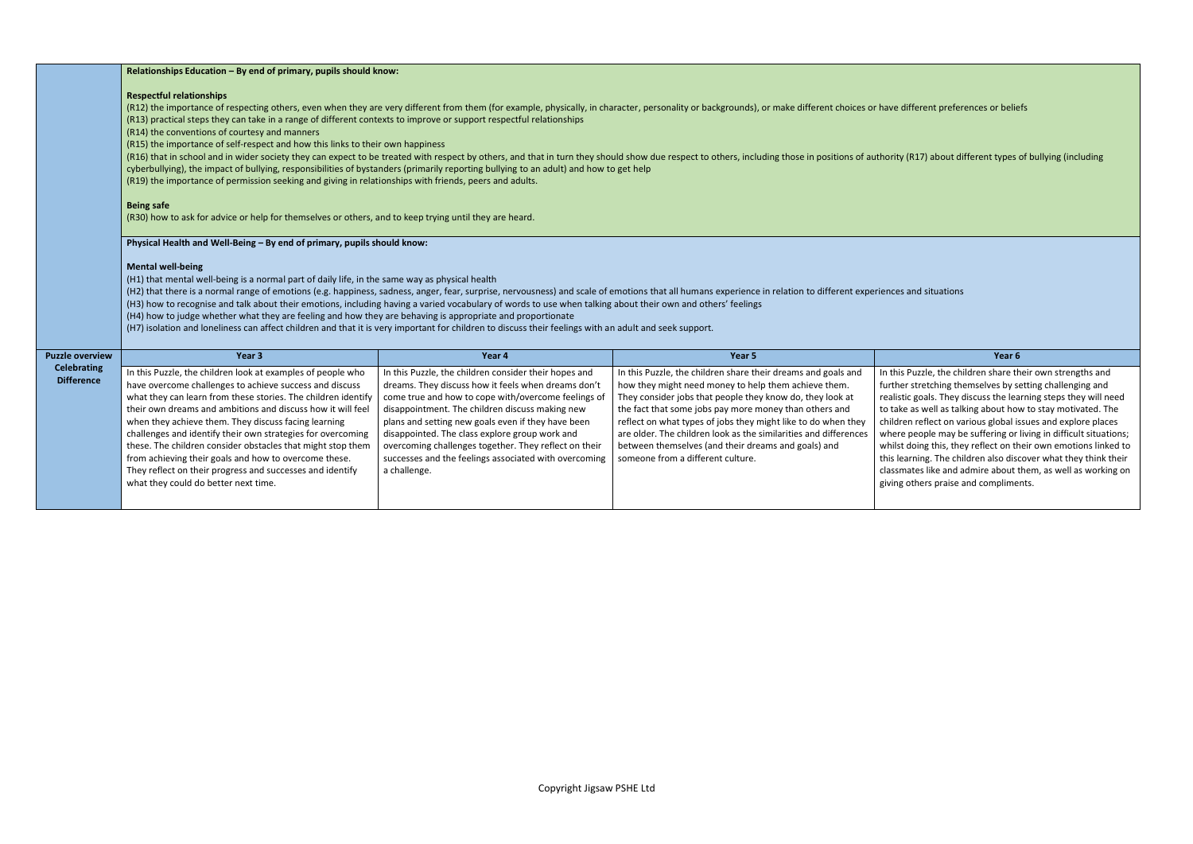different preferences or beliefs

 $($  (R17) about different types of bullying (including

is Puzzle, the children share their own strengths and ier stretching themselves by setting challenging and stic goals. They discuss the learning steps they will need ke as well as talking about how to stay motivated. The ren reflect on various global issues and explore places re people may be suffering or living in difficult situations; t doing this, they reflect on their own emotions linked to earning. The children also discover what they think their mates like and admire about them, as well as working on g others praise and compliments.

| <b>Respectful relationships</b><br>(R14) the conventions of courtesy and manners<br><b>Being safe</b>                                                                                                                                                                                                                                                                                                                                                                                                                                                                                                                                                                                                                                                                                                                                                            |                                                                                                                                                                                                                                                                                                                                                                                                                                                                  |                                                                                                                                                                                                                                                                                                                                                                                                                                                                                               |                                                                                                                                                                                                                                                                                                                                                                                                                                                                                                                                                                                                         |  |
|------------------------------------------------------------------------------------------------------------------------------------------------------------------------------------------------------------------------------------------------------------------------------------------------------------------------------------------------------------------------------------------------------------------------------------------------------------------------------------------------------------------------------------------------------------------------------------------------------------------------------------------------------------------------------------------------------------------------------------------------------------------------------------------------------------------------------------------------------------------|------------------------------------------------------------------------------------------------------------------------------------------------------------------------------------------------------------------------------------------------------------------------------------------------------------------------------------------------------------------------------------------------------------------------------------------------------------------|-----------------------------------------------------------------------------------------------------------------------------------------------------------------------------------------------------------------------------------------------------------------------------------------------------------------------------------------------------------------------------------------------------------------------------------------------------------------------------------------------|---------------------------------------------------------------------------------------------------------------------------------------------------------------------------------------------------------------------------------------------------------------------------------------------------------------------------------------------------------------------------------------------------------------------------------------------------------------------------------------------------------------------------------------------------------------------------------------------------------|--|
| Physical Health and Well-Being - By end of primary, pupils should know:<br><b>Mental well-being</b><br>(H1) that mental well-being is a normal part of daily life, in the same way as physical health<br>(H2) that there is a normal range of emotions (e.g. happiness, sadness, anger, fear, surprise, nervousness) and scale of emotions that all humans experience in relation to different experiences and situations<br>(H3) how to recognise and talk about their emotions, including having a varied vocabulary of words to use when talking about their own and others' feelings<br>(H4) how to judge whether what they are feeling and how they are behaving is appropriate and proportionate<br>(H7) isolation and loneliness can affect children and that it is very important for children to discuss their feelings with an adult and seek support. |                                                                                                                                                                                                                                                                                                                                                                                                                                                                  |                                                                                                                                                                                                                                                                                                                                                                                                                                                                                               |                                                                                                                                                                                                                                                                                                                                                                                                                                                                                                                                                                                                         |  |
| Year 3                                                                                                                                                                                                                                                                                                                                                                                                                                                                                                                                                                                                                                                                                                                                                                                                                                                           | Year 4                                                                                                                                                                                                                                                                                                                                                                                                                                                           | Year 5                                                                                                                                                                                                                                                                                                                                                                                                                                                                                        | Year <sub>6</sub>                                                                                                                                                                                                                                                                                                                                                                                                                                                                                                                                                                                       |  |
| In this Puzzle, the children look at examples of people who<br>have overcome challenges to achieve success and discuss<br>what they can learn from these stories. The children identify<br>their own dreams and ambitions and discuss how it will feel<br>when they achieve them. They discuss facing learning<br>challenges and identify their own strategies for overcoming<br>these. The children consider obstacles that might stop them<br>from achieving their goals and how to overcome these.<br>They reflect on their progress and successes and identify<br>what they could do better next time.                                                                                                                                                                                                                                                       | In this Puzzle, the children consider their hopes and<br>dreams. They discuss how it feels when dreams don't<br>come true and how to cope with/overcome feelings of<br>disappointment. The children discuss making new<br>plans and setting new goals even if they have been<br>disappointed. The class explore group work and<br>overcoming challenges together. They reflect on their<br>successes and the feelings associated with overcoming<br>a challenge. | In this Puzzle, the children share their dreams and goals and<br>how they might need money to help them achieve them.<br>They consider jobs that people they know do, they look at<br>the fact that some jobs pay more money than others and<br>reflect on what types of jobs they might like to do when they<br>are older. The children look as the similarities and differences<br>between themselves (and their dreams and goals) and<br>someone from a different culture.                 | In this Puzzle, the children share th<br>further stretching themselves by s<br>realistic goals. They discuss the lea<br>to take as well as talking about how<br>children reflect on various global is<br>where people may be suffering or<br>whilst doing this, they reflect on th<br>this learning. The children also dise<br>classmates like and admire about t<br>giving others praise and complime                                                                                                                                                                                                  |  |
|                                                                                                                                                                                                                                                                                                                                                                                                                                                                                                                                                                                                                                                                                                                                                                                                                                                                  |                                                                                                                                                                                                                                                                                                                                                                                                                                                                  | Relationships Education - By end of primary, pupils should know:<br>(R13) practical steps they can take in a range of different contexts to improve or support respectful relationships<br>(R15) the importance of self-respect and how this links to their own happiness<br>(R19) the importance of permission seeking and giving in relationships with friends, peers and adults.<br>(R30) how to ask for advice or help for themselves or others, and to keep trying until they are heard. | (R12) the importance of respecting others, even when they are very different from them (for example, physically, in character, personality or backgrounds), or make different choices or have different preferences or belie<br>(R16) that in school and in wider society they can expect to be treated with respect by others, and that in turn they should show due respect to others, including those in positions of authority (R17) about different types<br>cyberbullying), the impact of bullying, responsibilities of bystanders (primarily reporting bullying to an adult) and how to get help |  |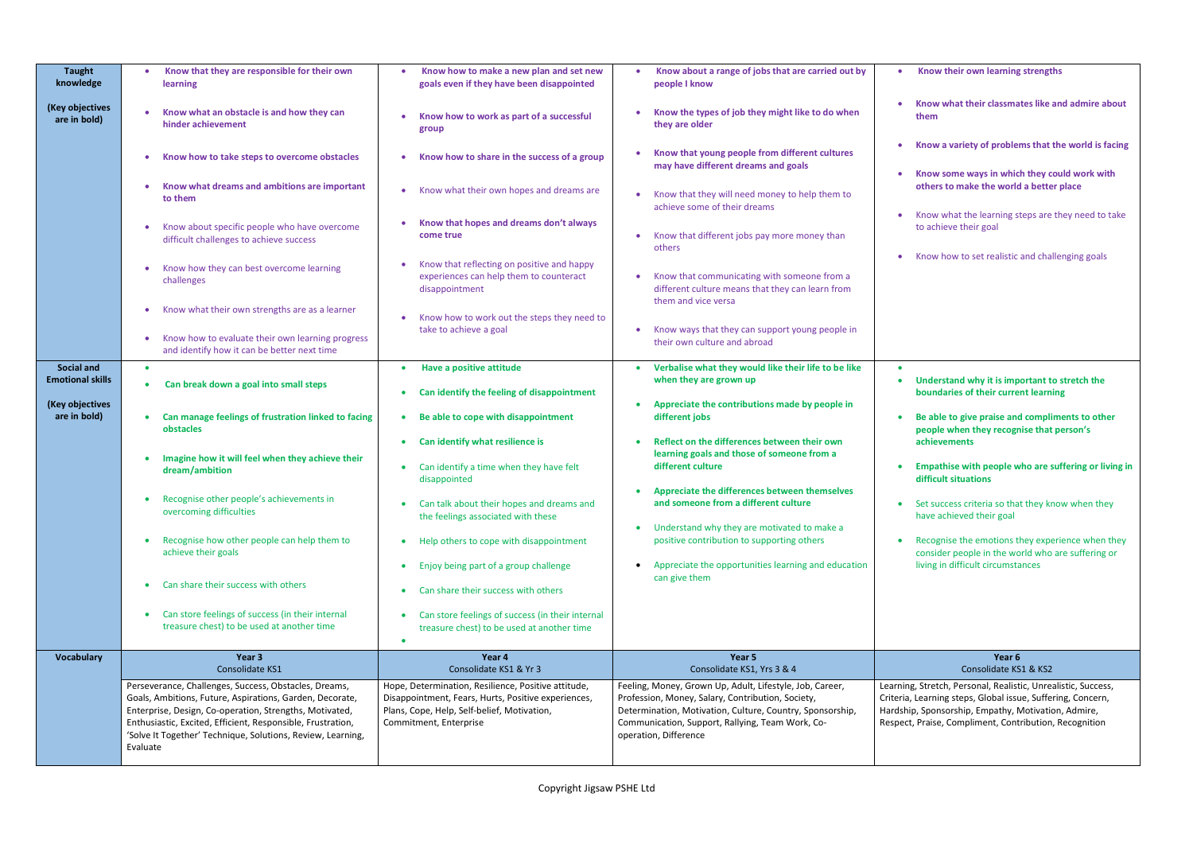| <b>Taught</b><br>knowledge<br>(Key objectives<br>are in bold)                   | Know that they are responsible for their own<br>learning<br>Know what an obstacle is and how they can<br>hinder achievement<br>Know how to take steps to overcome obstacles<br>Know what dreams and ambitions are important                                                                                                                                                                                                                                                                                                             | Know how to make a new plan and set new<br>goals even if they have been disappointed<br>Know how to work as part of a successful<br>group<br>Know how to share in the success of a group                                                                                                                                                                                                                                                                                                                                                                                                                                 | Know about a range of jobs that are carried out by<br>people I know<br>Know the types of job they might like to do when<br>they are older<br>Know that young people from different cultures<br>may have different dreams and goals                                                                                                                                                                                                                                                                                                                 | Know their own learning strengths<br>Know what their classmates like and admire about<br>them<br>• Know a variety of problems that the world is facing<br>Know some ways in which they could work with<br>others to make the world a better place                                                                                                                                                                                                                                                                    |
|---------------------------------------------------------------------------------|-----------------------------------------------------------------------------------------------------------------------------------------------------------------------------------------------------------------------------------------------------------------------------------------------------------------------------------------------------------------------------------------------------------------------------------------------------------------------------------------------------------------------------------------|--------------------------------------------------------------------------------------------------------------------------------------------------------------------------------------------------------------------------------------------------------------------------------------------------------------------------------------------------------------------------------------------------------------------------------------------------------------------------------------------------------------------------------------------------------------------------------------------------------------------------|----------------------------------------------------------------------------------------------------------------------------------------------------------------------------------------------------------------------------------------------------------------------------------------------------------------------------------------------------------------------------------------------------------------------------------------------------------------------------------------------------------------------------------------------------|----------------------------------------------------------------------------------------------------------------------------------------------------------------------------------------------------------------------------------------------------------------------------------------------------------------------------------------------------------------------------------------------------------------------------------------------------------------------------------------------------------------------|
|                                                                                 | to them<br>Know about specific people who have overcome<br>difficult challenges to achieve success<br>Know how they can best overcome learning<br>challenges                                                                                                                                                                                                                                                                                                                                                                            | Know what their own hopes and dreams are<br>$\bullet$<br>Know that hopes and dreams don't always<br>come true<br>Know that reflecting on positive and happy<br>experiences can help them to counteract                                                                                                                                                                                                                                                                                                                                                                                                                   | Know that they will need money to help them to<br>achieve some of their dreams<br>Know that different jobs pay more money than<br>others<br>Know that communicating with someone from a                                                                                                                                                                                                                                                                                                                                                            | Know what the learning steps are they need to take<br>to achieve their goal<br>• Know how to set realistic and challenging goals                                                                                                                                                                                                                                                                                                                                                                                     |
|                                                                                 | Know what their own strengths are as a learner<br>Know how to evaluate their own learning progress<br>and identify how it can be better next time                                                                                                                                                                                                                                                                                                                                                                                       | disappointment<br>Know how to work out the steps they need to<br>take to achieve a goal                                                                                                                                                                                                                                                                                                                                                                                                                                                                                                                                  | different culture means that they can learn from<br>them and vice versa<br>• Know ways that they can support young people in<br>their own culture and abroad                                                                                                                                                                                                                                                                                                                                                                                       |                                                                                                                                                                                                                                                                                                                                                                                                                                                                                                                      |
| <b>Social and</b><br><b>Emotional skills</b><br>(Key objectives<br>are in bold) | $\bullet$<br>Can break down a goal into small steps<br>$\bullet$<br>Can manage feelings of frustration linked to facing<br>obstacles<br>Imagine how it will feel when they achieve their<br>dream/ambition<br>Recognise other people's achievements in<br>$\bullet$<br>overcoming difficulties<br>Recognise how other people can help them to<br>$\bullet$<br>achieve their goals<br>Can share their success with others<br>Can store feelings of success (in their internal<br>$\bullet$<br>treasure chest) to be used at another time | Have a positive attitude<br>Can identify the feeling of disappointment<br>Be able to cope with disappointment<br>$\bullet$<br>Can identify what resilience is<br>$\bullet$<br>Can identify a time when they have felt<br>disappointed<br>• Can talk about their hopes and dreams and<br>the feelings associated with these<br>Help others to cope with disappointment<br>$\bullet$<br>Enjoy being part of a group challenge<br>$\bullet$<br>Can share their success with others<br>$\bullet$<br>Can store feelings of success (in their internal<br>$\bullet$<br>treasure chest) to be used at another time<br>$\bullet$ | • Verbalise what they would like their life to be like<br>when they are grown up<br>Appreciate the contributions made by people in<br>different jobs<br>Reflect on the differences between their own<br>learning goals and those of someone from a<br>different culture<br>Appreciate the differences between themselves<br>and someone from a different culture<br>Understand why they are motivated to make a<br>positive contribution to supporting others<br>Appreciate the opportunities learning and education<br>$\bullet$<br>can give them | Understand why it is important to stretch the<br>boundaries of their current learning<br>Be able to give praise and compliments to other<br>people when they recognise that person's<br>achievements<br>Empathise with people who are suffering or living in<br>difficult situations<br>• Set success criteria so that they know when they<br>have achieved their goal<br>Recognise the emotions they experience when they<br>consider people in the world who are suffering or<br>living in difficult circumstances |
| <b>Vocabulary</b>                                                               | Year 3<br>Consolidate KS1<br>Perseverance, Challenges, Success, Obstacles, Dreams,<br>Goals, Ambitions, Future, Aspirations, Garden, Decorate,<br>Enterprise, Design, Co-operation, Strengths, Motivated,<br>Enthusiastic, Excited, Efficient, Responsible, Frustration,<br>'Solve It Together' Technique, Solutions, Review, Learning,<br>Evaluate                                                                                                                                                                                     | Year 4<br>Consolidate KS1 & Yr 3<br>Hope, Determination, Resilience, Positive attitude,<br>Disappointment, Fears, Hurts, Positive experiences,<br>Plans, Cope, Help, Self-belief, Motivation,<br>Commitment, Enterprise                                                                                                                                                                                                                                                                                                                                                                                                  | Year 5<br>Consolidate KS1, Yrs 3 & 4<br>Feeling, Money, Grown Up, Adult, Lifestyle, Job, Career,<br>Profession, Money, Salary, Contribution, Society,<br>Determination, Motivation, Culture, Country, Sponsorship,<br>Communication, Support, Rallying, Team Work, Co-<br>operation, Difference                                                                                                                                                                                                                                                    | Year 6<br>Consolidate KS1 & KS2<br>Learning, Stretch, Personal, Realistic, Unrealistic, Success,<br>Criteria, Learning steps, Global issue, Suffering, Concern,<br>Hardship, Sponsorship, Empathy, Motivation, Admire,<br>Respect, Praise, Compliment, Contribution, Recognition                                                                                                                                                                                                                                     |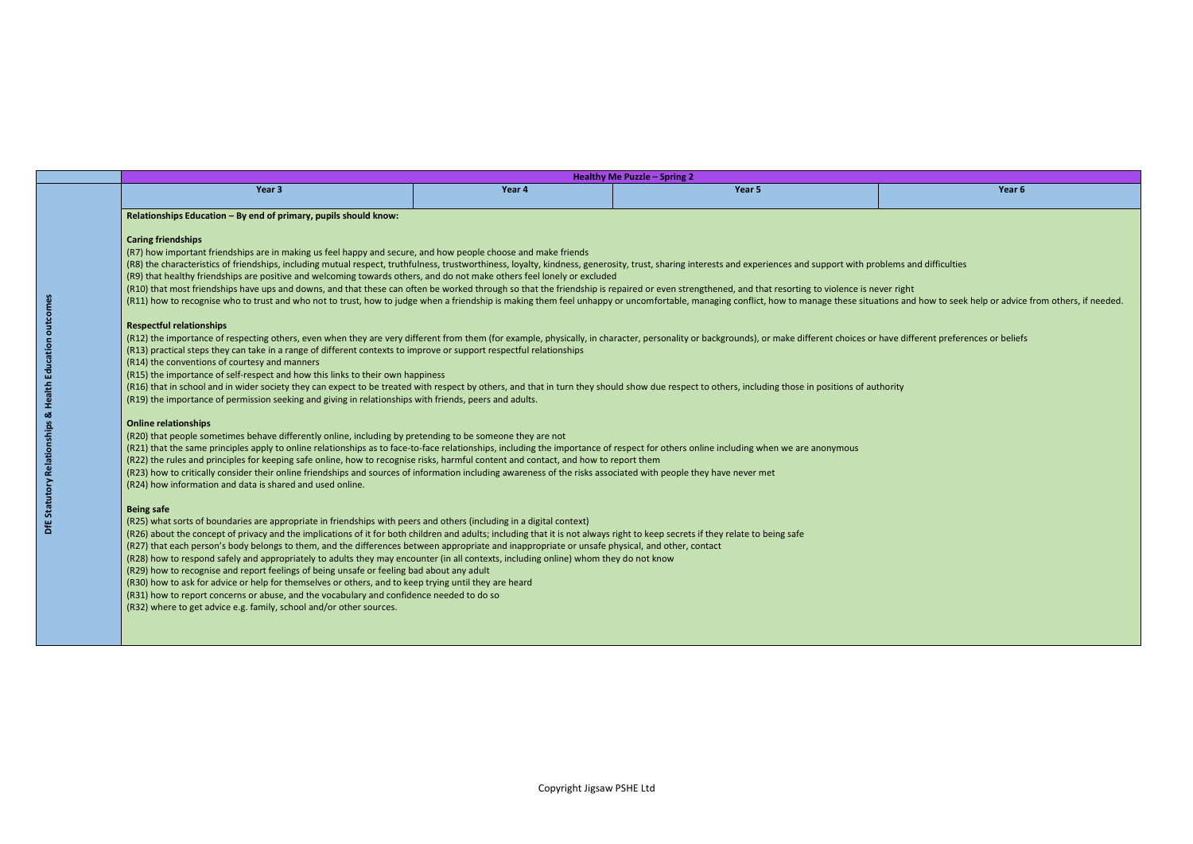and how to seek help or advice from others, if needed.

different preferences or beliefs

|                                                                                                                                                                                                                                                                                                                                                                                                                                                                                                                                                                                                                                                                                                                                                                                                                                                                                                                                                                                                                                                                                                                                                                                                                                                                                                                                                                                                                                                                                                                                                                                                                                                                                                                                                                                                                                                                                                                                                                                                                                                                                                                                                                                                                                                                                                                                                                                                                                                                                                                                                                                                                                                                                                                                                                                                                                                                                                                                                                                                                                                                                                                                                                                                                                                                                                                                                                                                                                                                                                                                                                |        | Healthy Me Puzzle - Spring 2 |                   |
|----------------------------------------------------------------------------------------------------------------------------------------------------------------------------------------------------------------------------------------------------------------------------------------------------------------------------------------------------------------------------------------------------------------------------------------------------------------------------------------------------------------------------------------------------------------------------------------------------------------------------------------------------------------------------------------------------------------------------------------------------------------------------------------------------------------------------------------------------------------------------------------------------------------------------------------------------------------------------------------------------------------------------------------------------------------------------------------------------------------------------------------------------------------------------------------------------------------------------------------------------------------------------------------------------------------------------------------------------------------------------------------------------------------------------------------------------------------------------------------------------------------------------------------------------------------------------------------------------------------------------------------------------------------------------------------------------------------------------------------------------------------------------------------------------------------------------------------------------------------------------------------------------------------------------------------------------------------------------------------------------------------------------------------------------------------------------------------------------------------------------------------------------------------------------------------------------------------------------------------------------------------------------------------------------------------------------------------------------------------------------------------------------------------------------------------------------------------------------------------------------------------------------------------------------------------------------------------------------------------------------------------------------------------------------------------------------------------------------------------------------------------------------------------------------------------------------------------------------------------------------------------------------------------------------------------------------------------------------------------------------------------------------------------------------------------------------------------------------------------------------------------------------------------------------------------------------------------------------------------------------------------------------------------------------------------------------------------------------------------------------------------------------------------------------------------------------------------------------------------------------------------------------------------------------------------|--------|------------------------------|-------------------|
| Year 3                                                                                                                                                                                                                                                                                                                                                                                                                                                                                                                                                                                                                                                                                                                                                                                                                                                                                                                                                                                                                                                                                                                                                                                                                                                                                                                                                                                                                                                                                                                                                                                                                                                                                                                                                                                                                                                                                                                                                                                                                                                                                                                                                                                                                                                                                                                                                                                                                                                                                                                                                                                                                                                                                                                                                                                                                                                                                                                                                                                                                                                                                                                                                                                                                                                                                                                                                                                                                                                                                                                                                         | Year 4 | Year 5                       | Year <sub>6</sub> |
| Relationships Education - By end of primary, pupils should know:<br><b>Caring friendships</b><br>(R7) how important friendships are in making us feel happy and secure, and how people choose and make friends<br>(R8) the characteristics of friendships, including mutual respect, truthfulness, trustworthiness, loyalty, kindness, generosity, trust, sharing interests and experiences and support with problems and difficulties<br>(R9) that healthy friendships are positive and welcoming towards others, and do not make others feel lonely or excluded<br>(R10) that most friendships have ups and downs, and that these can often be worked through so that the friendship is repaired or even strengthened, and that resorting to violence is never right<br>(R11) how to recognise who to trust and who not to trust, how to judge when a friendship is making them feel unhappy or uncomfortable, managing conflict, how to manage these situations and how to seek help or advice<br><b>Respectful relationships</b><br>(R12) the importance of respecting others, even when they are very different from them (for example, physically, in character, personality or backgrounds), or make different choices or have different preferences or belief<br>(R13) practical steps they can take in a range of different contexts to improve or support respectful relationships<br>(R14) the conventions of courtesy and manners<br>(R15) the importance of self-respect and how this links to their own happiness<br>(R16) that in school and in wider society they can expect to be treated with respect by others, and that in turn they should show due respect to others, including those in positions of authority<br>(R19) the importance of permission seeking and giving in relationships with friends, peers and adults.<br><b>Online relationships</b><br>(R20) that people sometimes behave differently online, including by pretending to be someone they are not<br>(R21) that the same principles apply to online relationships as to face-to-face relationships, including the importance of respect for others online including when we are anonymous<br>(R22) the rules and principles for keeping safe online, how to recognise risks, harmful content and contact, and how to report them<br>(R23) how to critically consider their online friendships and sources of information including awareness of the risks associated with people they have never met<br>(R24) how information and data is shared and used online.<br><b>Being safe</b><br>(R25) what sorts of boundaries are appropriate in friendships with peers and others (including in a digital context)<br>(R26) about the concept of privacy and the implications of it for both children and adults; including that it is not always right to keep secrets if they relate to being safe<br>(R27) that each person's body belongs to them, and the differences between appropriate and inappropriate or unsafe physical, and other, contact<br>(R28) how to respond safely and appropriately to adults they may encounter (in all contexts, including online) whom they do not know<br>(R29) how to recognise and report feelings of being unsafe or feeling bad about any adult<br>(R30) how to ask for advice or help for themselves or others, and to keep trying until they are heard<br>(R31) how to report concerns or abuse, and the vocabulary and confidence needed to do so<br>(R32) where to get advice e.g. family, school and/or other sources. |        |                              |                   |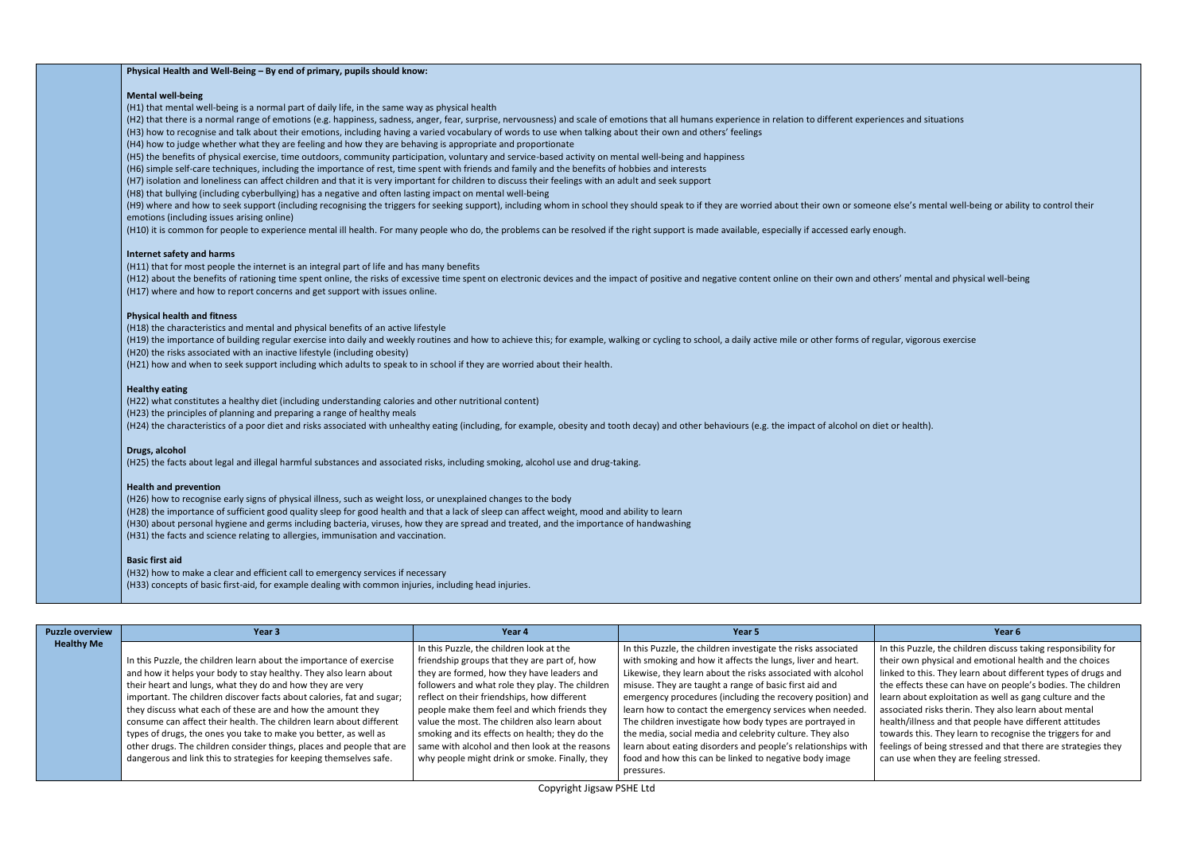Puzzle, the children discuss taking responsibility for own physical and emotional health and the choices to this. They learn about different types of drugs and ffects these can have on people's bodies. The children about exploitation as well as gang culture and the iated risks therin. They also learn about mental h/illness and that people have different attitudes rds this. They learn to recognise the triggers for and gs of being stressed and that there are strategies they se when they are feeling stressed.

# **Physical Health and Well-Being – By end of primary, pupils should know:**

- (H2) that there is a normal range of emotions (e.g. happiness, sadness, anger, fear, surprise, nervousness) and scale of emotions that all humans experience in relation to different experiences and situations
- (H3) how to recognise and talk about their emotions, including having a varied vocabulary of words to use when talking about their own and others' feelings
- (H4) how to judge whether what they are feeling and how they are behaving is appropriate and proportionate
- (H5) the benefits of physical exercise, time outdoors, community participation, voluntary and service-based activity on mental well-being and happiness
- (H6) simple self-care techniques, including the importance of rest, time spent with friends and family and the benefits of hobbies and interests
- (H7) isolation and loneliness can affect children and that it is very important for children to discuss their feelings with an adult and seek support
- (H8) that bullying (including cyberbullying) has a negative and often lasting impact on mental well-being
- (H9) where and how to seek support (including recognising the triggers for seeking support), including whom in school they should speak to if they are worried about their own or someone else's mental well-being or ability emotions (including issues arising online)
- (H10) it is common for people to experience mental ill health. For many people who do, the problems can be resolved if the right support is made available, especially if accessed early enough.

### **Mental well-being**

(H1) that mental well-being is a normal part of daily life, in the same way as physical health

### **Internet safety and harms**

- (H11) that for most people the internet is an integral part of life and has many benefits
- (H12) about the benefits of rationing time spent online, the risks of excessive time spent on electronic devices and the impact of positive and negative content online on their own and others' mental and physical well-being (H17) where and how to report concerns and get support with issues online.

# **Physical health and fitness**

(H18) the characteristics and mental and physical benefits of an active lifestyle

(H19) the importance of building regular exercise into daily and weekly routines and how to achieve this; for example, walking or cycling to school, a daily active mile or other forms of regular, vigorous exercise (H20) the risks associated with an inactive lifestyle (including obesity)

(H21) how and when to seek support including which adults to speak to in school if they are worried about their health.

# **Healthy eating**

(H22) what constitutes a healthy diet (including understanding calories and other nutritional content)

(H23) the principles of planning and preparing a range of healthy meals

(H24) the characteristics of a poor diet and risks associated with unhealthy eating (including, for example, obesity and tooth decay) and other behaviours (e.g. the impact of alcohol on diet or health).

# **Drugs, alcohol**

(H25) the facts about legal and illegal harmful substances and associated risks, including smoking, alcohol use and drug-taking.

# **Health and prevention**

(H26) how to recognise early signs of physical illness, such as weight loss, or unexplained changes to the body (H28) the importance of sufficient good quality sleep for good health and that a lack of sleep can affect weight, mood and ability to learn (H30) about personal hygiene and germs including bacteria, viruses, how they are spread and treated, and the importance of handwashing (H31) the facts and science relating to allergies, immunisation and vaccination.

### **Basic first aid**

(H32) how to make a clear and efficient call to emergency services if necessary

(H33) concepts of basic first-aid, for example dealing with common injuries, including head injuries.

| <b>Puzzle overview</b> | Year 3                                                                | Year 4                                          | Year 5                                                        | Year <sub>6</sub>                     |
|------------------------|-----------------------------------------------------------------------|-------------------------------------------------|---------------------------------------------------------------|---------------------------------------|
| <b>Healthy Me</b>      |                                                                       | In this Puzzle, the children look at the        | In this Puzzle, the children investigate the risks associated | In this Puzzle, the children discuss  |
|                        | In this Puzzle, the children learn about the importance of exercise   | friendship groups that they are part of, how    | with smoking and how it affects the lungs, liver and heart.   | their own physical and emotional      |
|                        | and how it helps your body to stay healthy. They also learn about     | they are formed, how they have leaders and      | Likewise, they learn about the risks associated with alcohol  | linked to this. They learn about dif  |
|                        | their heart and lungs, what they do and how they are very             | followers and what role they play. The children | misuse. They are taught a range of basic first aid and        | the effects these can have on peop    |
|                        | important. The children discover facts about calories, fat and sugar; | reflect on their friendships, how different     | emergency procedures (including the recovery position) and    | learn about exploitation as well as   |
|                        | they discuss what each of these are and how the amount they           | people make them feel and which friends they    | learn how to contact the emergency services when needed.      | associated risks therin. They also le |
|                        | consume can affect their health. The children learn about different   | value the most. The children also learn about   | The children investigate how body types are portrayed in      | health/illness and that people hav    |
|                        | types of drugs, the ones you take to make you better, as well as      | smoking and its effects on health; they do the  | the media, social media and celebrity culture. They also      | towards this. They learn to recogni   |
|                        | other drugs. The children consider things, places and people that are | same with alcohol and then look at the reasons  | learn about eating disorders and people's relationships with  | feelings of being stressed and that   |
|                        | dangerous and link this to strategies for keeping themselves safe.    | why people might drink or smoke. Finally, they  | food and how this can be linked to negative body image        | can use when they are feeling stre    |
|                        |                                                                       |                                                 | pressures.                                                    |                                       |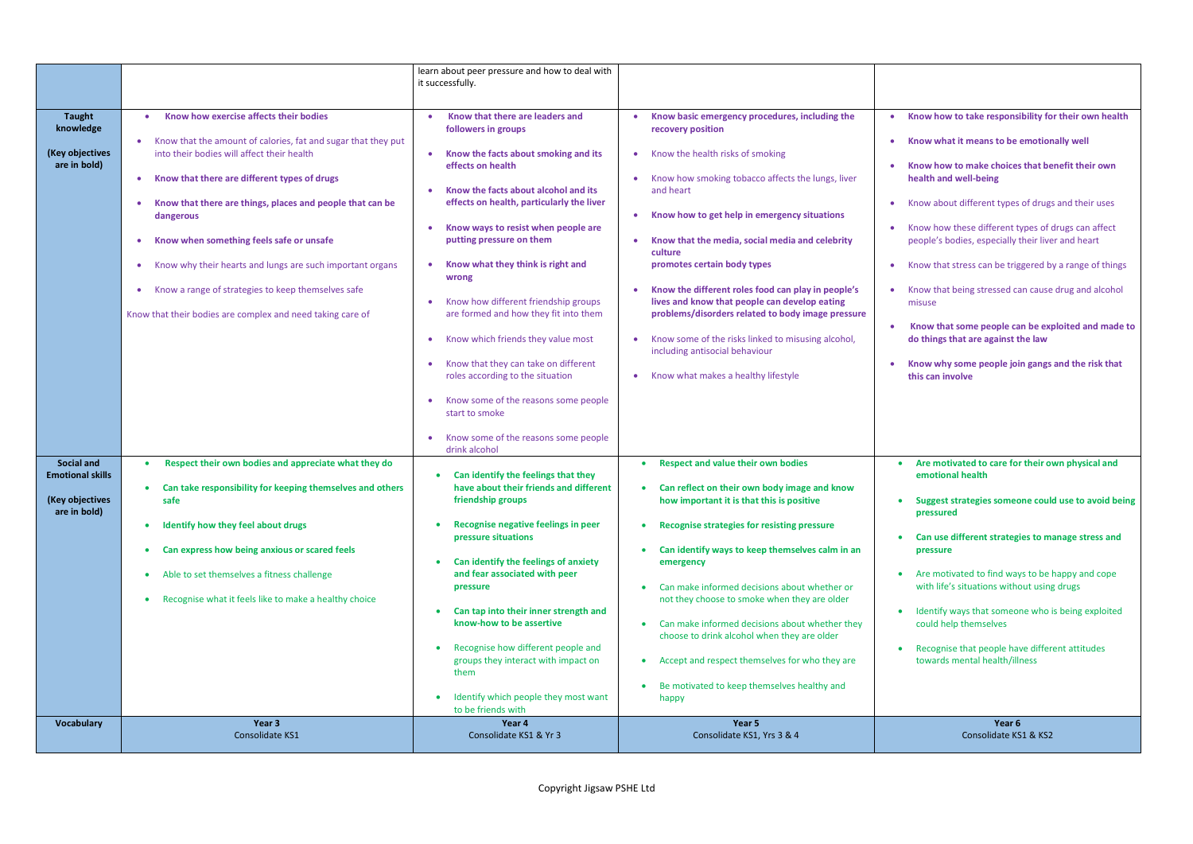|                                                                                 |                                                                                                                                                                                                                                                                                                                                                                                                                                                                                                                                        | learn about peer pressure and how to deal with<br>it successfully.                                                                                                                                                                                                                                                                                                                                                                                                                                                                                                                     |                                                                                                                                                                                                                                                                                                                                                                                                                                                                                                                                                                                                                                  |                                                                                                                                                                                                                                                                                                                                                                                                                                                                                                                                                                                                                                                                                                    |
|---------------------------------------------------------------------------------|----------------------------------------------------------------------------------------------------------------------------------------------------------------------------------------------------------------------------------------------------------------------------------------------------------------------------------------------------------------------------------------------------------------------------------------------------------------------------------------------------------------------------------------|----------------------------------------------------------------------------------------------------------------------------------------------------------------------------------------------------------------------------------------------------------------------------------------------------------------------------------------------------------------------------------------------------------------------------------------------------------------------------------------------------------------------------------------------------------------------------------------|----------------------------------------------------------------------------------------------------------------------------------------------------------------------------------------------------------------------------------------------------------------------------------------------------------------------------------------------------------------------------------------------------------------------------------------------------------------------------------------------------------------------------------------------------------------------------------------------------------------------------------|----------------------------------------------------------------------------------------------------------------------------------------------------------------------------------------------------------------------------------------------------------------------------------------------------------------------------------------------------------------------------------------------------------------------------------------------------------------------------------------------------------------------------------------------------------------------------------------------------------------------------------------------------------------------------------------------------|
| <b>Taught</b><br>knowledge<br>(Key objectives<br>are in bold)                   | Know how exercise affects their bodies<br>Know that the amount of calories, fat and sugar that they put<br>into their bodies will affect their health<br>Know that there are different types of drugs<br>$\bullet$<br>Know that there are things, places and people that can be<br>dangerous<br>Know when something feels safe or unsafe<br>Know why their hearts and lungs are such important organs<br>Know a range of strategies to keep themselves safe<br>$\bullet$<br>Know that their bodies are complex and need taking care of | Know that there are leaders and<br>followers in groups<br>Know the facts about smoking and its<br>effects on health<br>Know the facts about alcohol and its<br>effects on health, particularly the liver<br>Know ways to resist when people are<br>putting pressure on them<br>Know what they think is right and<br>wrong<br>Know how different friendship groups<br>are formed and how they fit into them<br>Know which friends they value most<br>Know that they can take on different<br>roles according to the situation<br>Know some of the reasons some people<br>start to smoke | Know basic emergency procedures, including the<br>recovery position<br>• Know the health risks of smoking<br>Know how smoking tobacco affects the lungs, liver<br>and heart<br>Know how to get help in emergency situations<br>$\bullet$<br>Know that the media, social media and celebrity<br>culture<br>promotes certain body types<br>Know the different roles food can play in people's<br>lives and know that people can develop eating<br>problems/disorders related to body image pressure<br>Know some of the risks linked to misusing alcohol,<br>including antisocial behaviour<br>Know what makes a healthy lifestyle | Know how to take responsibility for their own health<br>Know what it means to be emotionally well<br>$\bullet$<br>Know how to make choices that benefit their own<br>health and well-being<br>Know about different types of drugs and their uses<br>$\bullet$<br>Know how these different types of drugs can affect<br>people's bodies, especially their liver and heart<br>Know that stress can be triggered by a range of things<br>$\bullet$<br>Know that being stressed can cause drug and alcohol<br>misuse<br>Know that some people can be exploited and made to<br>$\bullet$<br>do things that are against the law<br>Know why some people join gangs and the risk that<br>this can involve |
| <b>Social and</b><br><b>Emotional skills</b><br>(Key objectives<br>are in bold) | Respect their own bodies and appreciate what they do<br>Can take responsibility for keeping themselves and others<br>safe<br>Identify how they feel about drugs<br>$\bullet$<br>Can express how being anxious or scared feels<br>۰<br>Able to set themselves a fitness challenge<br>$\bullet$<br>Recognise what it feels like to make a healthy choice<br>۰                                                                                                                                                                            | Know some of the reasons some people<br>drink alcohol<br>Can identify the feelings that they<br>have about their friends and different<br>friendship groups<br>Recognise negative feelings in peer<br>pressure situations<br>Can identify the feelings of anxiety<br>and fear associated with peer<br>pressure<br>Can tap into their inner strength and<br>know-how to be assertive<br>Recognise how different people and<br>$\bullet$<br>groups they interact with impact on<br>them<br>Identify which people they most want<br>to be friends with                                    | <b>Respect and value their own bodies</b><br>Can reflect on their own body image and know<br>how important it is that this is positive<br><b>Recognise strategies for resisting pressure</b><br>$\bullet$<br>Can identify ways to keep themselves calm in an<br>emergency<br>Can make informed decisions about whether or<br>not they choose to smoke when they are older<br>Can make informed decisions about whether they<br>choose to drink alcohol when they are older<br>Accept and respect themselves for who they are<br>Be motivated to keep themselves healthy and<br>happy                                             | Are motivated to care for their own physical and<br>emotional health<br>• Suggest strategies someone could use to avoid being<br>pressured<br>Can use different strategies to manage stress and<br>pressure<br>Are motivated to find ways to be happy and cope<br>with life's situations without using drugs<br>Identify ways that someone who is being exploited<br>could help themselves<br>Recognise that people have different attitudes<br>towards mental health/illness                                                                                                                                                                                                                      |
| <b>Vocabulary</b>                                                               | Year 3<br>Consolidate KS1                                                                                                                                                                                                                                                                                                                                                                                                                                                                                                              | Year 4<br>Consolidate KS1 & Yr 3                                                                                                                                                                                                                                                                                                                                                                                                                                                                                                                                                       | Year 5<br>Consolidate KS1, Yrs 3 & 4                                                                                                                                                                                                                                                                                                                                                                                                                                                                                                                                                                                             | Year 6<br>Consolidate KS1 & KS2                                                                                                                                                                                                                                                                                                                                                                                                                                                                                                                                                                                                                                                                    |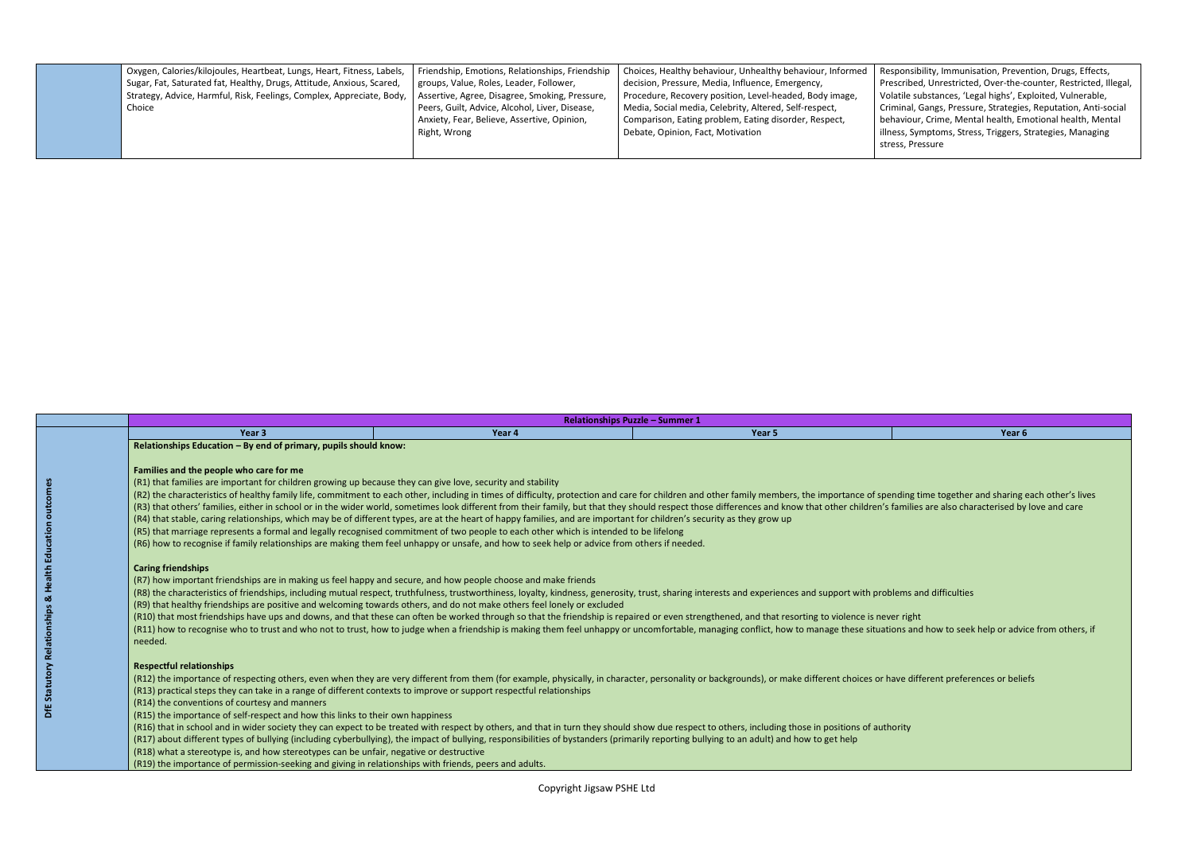onsibility, Immunisation, Prevention, Drugs, Effects, ribed, Unrestricted, Over-the-counter, Restricted, Illegal, tile substances, 'Legal highs', Exploited, Vulnerable, nal, Gangs, Pressure, Strategies, Reputation, Anti-social viour, Crime, Mental health, Emotional health, Mental s, Symptoms, Stress, Triggers, Strategies, Managing , Pressure

| Oxygen, Calories/kilojoules, Heartbeat, Lungs, Heart, Fitness, Labels, | Friendship, Emotions, Relationships, Friendship | Choices, Healthy behaviour, Unhealthy behaviour, Informed | Respo   |
|------------------------------------------------------------------------|-------------------------------------------------|-----------------------------------------------------------|---------|
| Sugar, Fat, Saturated fat, Healthy, Drugs, Attitude, Anxious, Scared,  | groups, Value, Roles, Leader, Follower,         | decision, Pressure, Media, Influence, Emergency,          | Prescr  |
| Strategy, Advice, Harmful, Risk, Feelings, Complex, Appreciate, Body,  | Assertive, Agree, Disagree, Smoking, Pressure,  | Procedure, Recovery position, Level-headed, Body image,   | Volatil |
| Choice                                                                 | Peers, Guilt, Advice, Alcohol, Liver, Disease,  | Media, Social media, Celebrity, Altered, Self-respect,    | Crimin  |
|                                                                        | Anxiety, Fear, Believe, Assertive, Opinion,     | Comparison, Eating problem, Eating disorder, Respect,     | behav   |
|                                                                        | Right, Wrong                                    | Debate, Opinion, Fact, Motivation                         | illness |
|                                                                        |                                                 |                                                           | stress, |
|                                                                        |                                                 |                                                           |         |

|                                                                      |                                                                                                                                                                                                                                                                                                                                                                                                                                                                                                                                                                                                                                                                                                                                                                                                                                                                                                                                                                                                                 | <b>Relationships Puzzle - Summer 1</b>                                                                                                                                                                                                                                                                                                                                                                                                                                                                                                                                                                                                                                                                                                                                                                                                                                                                                                                                                                                                                                                                                                                                                                                                                                                                                                                                                                                                                                                                                                                                                                                                                                                                                                                                                                                                                                                                                                                                                                                                                                                                                                                                                                                               |        |        |
|----------------------------------------------------------------------|-----------------------------------------------------------------------------------------------------------------------------------------------------------------------------------------------------------------------------------------------------------------------------------------------------------------------------------------------------------------------------------------------------------------------------------------------------------------------------------------------------------------------------------------------------------------------------------------------------------------------------------------------------------------------------------------------------------------------------------------------------------------------------------------------------------------------------------------------------------------------------------------------------------------------------------------------------------------------------------------------------------------|--------------------------------------------------------------------------------------------------------------------------------------------------------------------------------------------------------------------------------------------------------------------------------------------------------------------------------------------------------------------------------------------------------------------------------------------------------------------------------------------------------------------------------------------------------------------------------------------------------------------------------------------------------------------------------------------------------------------------------------------------------------------------------------------------------------------------------------------------------------------------------------------------------------------------------------------------------------------------------------------------------------------------------------------------------------------------------------------------------------------------------------------------------------------------------------------------------------------------------------------------------------------------------------------------------------------------------------------------------------------------------------------------------------------------------------------------------------------------------------------------------------------------------------------------------------------------------------------------------------------------------------------------------------------------------------------------------------------------------------------------------------------------------------------------------------------------------------------------------------------------------------------------------------------------------------------------------------------------------------------------------------------------------------------------------------------------------------------------------------------------------------------------------------------------------------------------------------------------------------|--------|--------|
|                                                                      | Year <sub>3</sub>                                                                                                                                                                                                                                                                                                                                                                                                                                                                                                                                                                                                                                                                                                                                                                                                                                                                                                                                                                                               | Year 4                                                                                                                                                                                                                                                                                                                                                                                                                                                                                                                                                                                                                                                                                                                                                                                                                                                                                                                                                                                                                                                                                                                                                                                                                                                                                                                                                                                                                                                                                                                                                                                                                                                                                                                                                                                                                                                                                                                                                                                                                                                                                                                                                                                                                               | Year 5 | Year 6 |
| <b>Statutory Relationships &amp; Health Education outcomes</b><br>٣Ë | Relationships Education - By end of primary, pupils should know:<br>Families and the people who care for me<br>(R1) that families are important for children growing up because they can give love, security and stability<br><b>Caring friendships</b><br>(R7) how important friendships are in making us feel happy and secure, and how people choose and make friends<br>(R9) that healthy friendships are positive and welcoming towards others, and do not make others feel lonely or excluded<br>needed.<br><b>Respectful relationships</b><br>(R13) practical steps they can take in a range of different contexts to improve or support respectful relationships<br>(R14) the conventions of courtesy and manners<br>(R15) the importance of self-respect and how this links to their own happiness<br>(R18) what a stereotype is, and how stereotypes can be unfair, negative or destructive<br>(R19) the importance of permission-seeking and giving in relationships with friends, peers and adults. | (R2) the characteristics of healthy family life, commitment to each other, including in times of difficulty, protection and care for children and other family members, the importance of spending time together and sharing e<br>(R3) that others' families, either in school or in the wider world, sometimes look different from their family, but that they should respect those differences and know that other children's families are also characterised<br>(R4) that stable, caring relationships, which may be of different types, are at the heart of happy families, and are important for children's security as they grow up<br>(R5) that marriage represents a formal and legally recognised commitment of two people to each other which is intended to be lifelong<br>(R6) how to recognise if family relationships are making them feel unhappy or unsafe, and how to seek help or advice from others if needed.<br>(R8) the characteristics of friendships, including mutual respect, truthfulness, trustworthiness, loyalty, kindness, generosity, trust, sharing interests and experiences and support with problems and difficulties<br>(R10) that most friendships have ups and downs, and that these can often be worked through so that the friendship is repaired or even strengthened, and that resorting to violence is never right<br>(R11) how to recognise who to trust and who not to trust, how to judge when a friendship is making them feel unhappy or uncomfortable, managing conflict, how to manage these situations and how to seek help or advice from o<br>(R12) the importance of respecting others, even when they are very different from them (for example, physically, in character, personality or backgrounds), or make different choices or have different preferences or beliefs<br>(R16) that in school and in wider society they can expect to be treated with respect by others, and that in turn they should show due respect to others, including those in positions of authority<br>(R17) about different types of bullying (including cyberbullying), the impact of bullying, responsibilities of bystanders (primarily reporting bullying to an adult) and how to get help |        |        |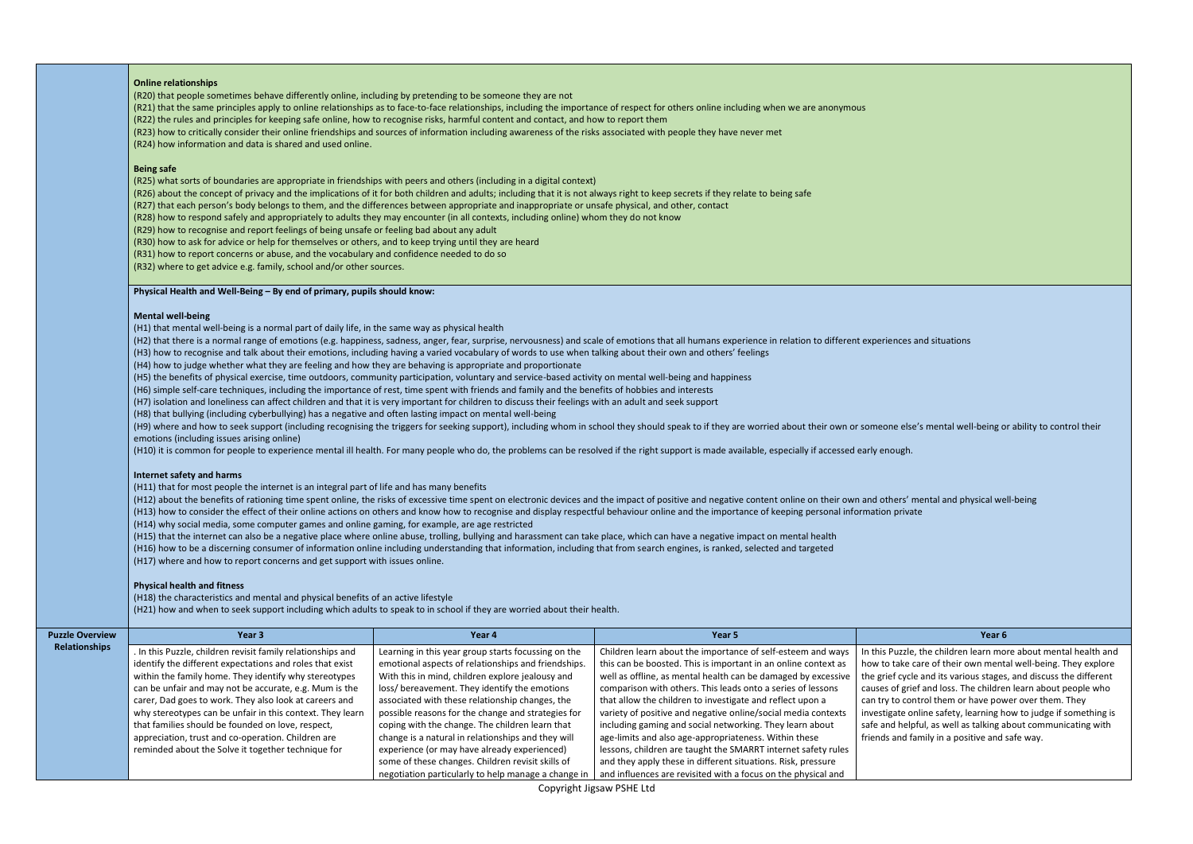's mental well-being or ability to control their

ental and physical well-being online time spent online time spent on the impact of positive and negative and neg<br>See the impact of positive and negative content on the impact on the impact of the individual and and physica

the children learn more about mental health and are of their own mental well-being. They explore the and its various stages, and discuss the different f and loss. The children learn about people who trol them or have power over them. They iline safety, learning how to judge if something is ful, as well as talking about communicating with mily in a positive and safe way.

|                        | <b>Online relationships</b>                                                                                                                                                                                                                                                                                                 |                                                                                                            |                                                                                                                                                                                                                      |                                                                             |  |  |
|------------------------|-----------------------------------------------------------------------------------------------------------------------------------------------------------------------------------------------------------------------------------------------------------------------------------------------------------------------------|------------------------------------------------------------------------------------------------------------|----------------------------------------------------------------------------------------------------------------------------------------------------------------------------------------------------------------------|-----------------------------------------------------------------------------|--|--|
|                        | (R20) that people sometimes behave differently online, including by pretending to be someone they are not                                                                                                                                                                                                                   |                                                                                                            |                                                                                                                                                                                                                      |                                                                             |  |  |
|                        | (R21) that the same principles apply to online relationships as to face-to-face relationships, including the importance of respect for others online including when we are anonymous<br>(R22) the rules and principles for keeping safe online, how to recognise risks, harmful content and contact, and how to report them |                                                                                                            |                                                                                                                                                                                                                      |                                                                             |  |  |
|                        | (R23) how to critically consider their online friendships and sources of information including awareness of the risks associated with people they have never met                                                                                                                                                            |                                                                                                            |                                                                                                                                                                                                                      |                                                                             |  |  |
|                        | (R24) how information and data is shared and used online.                                                                                                                                                                                                                                                                   |                                                                                                            |                                                                                                                                                                                                                      |                                                                             |  |  |
|                        |                                                                                                                                                                                                                                                                                                                             |                                                                                                            |                                                                                                                                                                                                                      |                                                                             |  |  |
|                        | <b>Being safe</b>                                                                                                                                                                                                                                                                                                           |                                                                                                            |                                                                                                                                                                                                                      |                                                                             |  |  |
|                        | (R25) what sorts of boundaries are appropriate in friendships with peers and others (including in a digital context)                                                                                                                                                                                                        |                                                                                                            |                                                                                                                                                                                                                      |                                                                             |  |  |
|                        | (R26) about the concept of privacy and the implications of it for both children and adults; including that it is not always right to keep secrets if they relate to being safe                                                                                                                                              |                                                                                                            |                                                                                                                                                                                                                      |                                                                             |  |  |
|                        | (R27) that each person's body belongs to them, and the differences between appropriate and inappropriate or unsafe physical, and other, contact                                                                                                                                                                             |                                                                                                            |                                                                                                                                                                                                                      |                                                                             |  |  |
|                        | (R28) how to respond safely and appropriately to adults they may encounter (in all contexts, including online) whom they do not know                                                                                                                                                                                        |                                                                                                            |                                                                                                                                                                                                                      |                                                                             |  |  |
|                        | (R29) how to recognise and report feelings of being unsafe or feeling bad about any adult                                                                                                                                                                                                                                   |                                                                                                            |                                                                                                                                                                                                                      |                                                                             |  |  |
|                        | (R30) how to ask for advice or help for themselves or others, and to keep trying until they are heard<br>(R31) how to report concerns or abuse, and the vocabulary and confidence needed to do so                                                                                                                           |                                                                                                            |                                                                                                                                                                                                                      |                                                                             |  |  |
|                        | (R32) where to get advice e.g. family, school and/or other sources.                                                                                                                                                                                                                                                         |                                                                                                            |                                                                                                                                                                                                                      |                                                                             |  |  |
|                        |                                                                                                                                                                                                                                                                                                                             |                                                                                                            |                                                                                                                                                                                                                      |                                                                             |  |  |
|                        | Physical Health and Well-Being - By end of primary, pupils should know:                                                                                                                                                                                                                                                     |                                                                                                            |                                                                                                                                                                                                                      |                                                                             |  |  |
|                        |                                                                                                                                                                                                                                                                                                                             |                                                                                                            |                                                                                                                                                                                                                      |                                                                             |  |  |
|                        | <b>Mental well-being</b><br>(H1) that mental well-being is a normal part of daily life, in the same way as physical health                                                                                                                                                                                                  |                                                                                                            |                                                                                                                                                                                                                      |                                                                             |  |  |
|                        |                                                                                                                                                                                                                                                                                                                             |                                                                                                            | (H2) that there is a normal range of emotions (e.g. happiness, sadness, anger, fear, surprise, nervousness) and scale of emotions that all humans experience in relation to different experiences and situations     |                                                                             |  |  |
|                        | (H3) how to recognise and talk about their emotions, including having a varied vocabulary of words to use when talking about their own and others' feelings                                                                                                                                                                 |                                                                                                            |                                                                                                                                                                                                                      |                                                                             |  |  |
|                        | (H4) how to judge whether what they are feeling and how they are behaving is appropriate and proportionate                                                                                                                                                                                                                  |                                                                                                            |                                                                                                                                                                                                                      |                                                                             |  |  |
|                        | (H5) the benefits of physical exercise, time outdoors, community participation, voluntary and service-based activity on mental well-being and happiness                                                                                                                                                                     |                                                                                                            |                                                                                                                                                                                                                      |                                                                             |  |  |
|                        | (H6) simple self-care techniques, including the importance of rest, time spent with friends and family and the benefits of hobbies and interests                                                                                                                                                                            |                                                                                                            |                                                                                                                                                                                                                      |                                                                             |  |  |
|                        | (H7) isolation and loneliness can affect children and that it is very important for children to discuss their feelings with an adult and seek support                                                                                                                                                                       |                                                                                                            |                                                                                                                                                                                                                      |                                                                             |  |  |
|                        | (H8) that bullying (including cyberbullying) has a negative and often lasting impact on mental well-being                                                                                                                                                                                                                   |                                                                                                            |                                                                                                                                                                                                                      |                                                                             |  |  |
|                        |                                                                                                                                                                                                                                                                                                                             |                                                                                                            | (H9) where and how to seek support (including recognising the triggers for seeking support), including whom in school they should speak to if they are worried about their own or someone else's mental well-being o |                                                                             |  |  |
|                        | emotions (including issues arising online)                                                                                                                                                                                                                                                                                  |                                                                                                            |                                                                                                                                                                                                                      |                                                                             |  |  |
|                        | (H10) it is common for people to experience mental ill health. For many people who do, the problems can be resolved if the right support is made available, especially if accessed early enough.                                                                                                                            |                                                                                                            |                                                                                                                                                                                                                      |                                                                             |  |  |
|                        | <b>Internet safety and harms</b>                                                                                                                                                                                                                                                                                            |                                                                                                            |                                                                                                                                                                                                                      |                                                                             |  |  |
|                        | (H11) that for most people the internet is an integral part of life and has many benefits                                                                                                                                                                                                                                   |                                                                                                            |                                                                                                                                                                                                                      |                                                                             |  |  |
|                        | (H12) about the benefits of rationing time spent online, the risks of excessive time spent on electronic devices and the impact of positive and negative content online on their own and others' mental and physical we                                                                                                     |                                                                                                            |                                                                                                                                                                                                                      |                                                                             |  |  |
|                        | (H13) how to consider the effect of their online actions on others and know how to recognise and display respectful behaviour online and the importance of keeping personal information private                                                                                                                             |                                                                                                            |                                                                                                                                                                                                                      |                                                                             |  |  |
|                        | (H14) why social media, some computer games and online gaming, for example, are age restricted                                                                                                                                                                                                                              |                                                                                                            |                                                                                                                                                                                                                      |                                                                             |  |  |
|                        | (H15) that the internet can also be a negative place where online abuse, trolling, bullying and harassment can take place, which can have a negative impact on mental health                                                                                                                                                |                                                                                                            |                                                                                                                                                                                                                      |                                                                             |  |  |
|                        | (H16) how to be a discerning consumer of information online including understanding that information, including that from search engines, is ranked, selected and targeted<br>(H17) where and how to report concerns and get support with issues online.                                                                    |                                                                                                            |                                                                                                                                                                                                                      |                                                                             |  |  |
|                        |                                                                                                                                                                                                                                                                                                                             |                                                                                                            |                                                                                                                                                                                                                      |                                                                             |  |  |
|                        | <b>Physical health and fitness</b>                                                                                                                                                                                                                                                                                          |                                                                                                            |                                                                                                                                                                                                                      |                                                                             |  |  |
|                        | (H18) the characteristics and mental and physical benefits of an active lifestyle                                                                                                                                                                                                                                           |                                                                                                            |                                                                                                                                                                                                                      |                                                                             |  |  |
|                        | (H21) how and when to seek support including which adults to speak to in school if they are worried about their health.                                                                                                                                                                                                     |                                                                                                            |                                                                                                                                                                                                                      |                                                                             |  |  |
| <b>Puzzle Overview</b> | Year 3                                                                                                                                                                                                                                                                                                                      | Year 4                                                                                                     | Year 5                                                                                                                                                                                                               | Year <sub>6</sub>                                                           |  |  |
| <b>Relationships</b>   |                                                                                                                                                                                                                                                                                                                             |                                                                                                            |                                                                                                                                                                                                                      |                                                                             |  |  |
|                        | . In this Puzzle, children revisit family relationships and<br>identify the different expectations and roles that exist                                                                                                                                                                                                     | Learning in this year group starts focussing on the<br>emotional aspects of relationships and friendships. | Children learn about the importance of self-esteem and ways<br>this can be boosted. This is important in an online context as                                                                                        | In this Puzzle, the children learn mo<br>how to take care of their own ment |  |  |
|                        | within the family home. They identify why stereotypes                                                                                                                                                                                                                                                                       | With this in mind, children explore jealousy and                                                           | well as offline, as mental health can be damaged by excessive                                                                                                                                                        | the grief cycle and its various stages                                      |  |  |
|                        | can be unfair and may not be accurate, e.g. Mum is the                                                                                                                                                                                                                                                                      | loss/ bereavement. They identify the emotions                                                              | comparison with others. This leads onto a series of lessons                                                                                                                                                          | causes of grief and loss. The childre                                       |  |  |
|                        | carer, Dad goes to work. They also look at careers and                                                                                                                                                                                                                                                                      | associated with these relationship changes, the                                                            | that allow the children to investigate and reflect upon a                                                                                                                                                            | can try to control them or have pow                                         |  |  |
|                        | why stereotypes can be unfair in this context. They learn                                                                                                                                                                                                                                                                   | possible reasons for the change and strategies for                                                         | variety of positive and negative online/social media contexts                                                                                                                                                        | investigate online safety, learning h                                       |  |  |
|                        | that families should be founded on love, respect,                                                                                                                                                                                                                                                                           | coping with the change. The children learn that                                                            | including gaming and social networking. They learn about                                                                                                                                                             | safe and helpful, as well as talking a                                      |  |  |
|                        | appreciation, trust and co-operation. Children are                                                                                                                                                                                                                                                                          | change is a natural in relationships and they will                                                         | age-limits and also age-appropriateness. Within these                                                                                                                                                                | friends and family in a positive and                                        |  |  |
|                        | reminded about the Solve it together technique for                                                                                                                                                                                                                                                                          | experience (or may have already experienced)                                                               | lessons, children are taught the SMARRT internet safety rules                                                                                                                                                        |                                                                             |  |  |
|                        |                                                                                                                                                                                                                                                                                                                             | some of these changes. Children revisit skills of                                                          | and they apply these in different situations. Risk, pressure                                                                                                                                                         |                                                                             |  |  |
|                        |                                                                                                                                                                                                                                                                                                                             | negotiation particularly to help manage a change in                                                        | and influences are revisited with a focus on the physical and                                                                                                                                                        |                                                                             |  |  |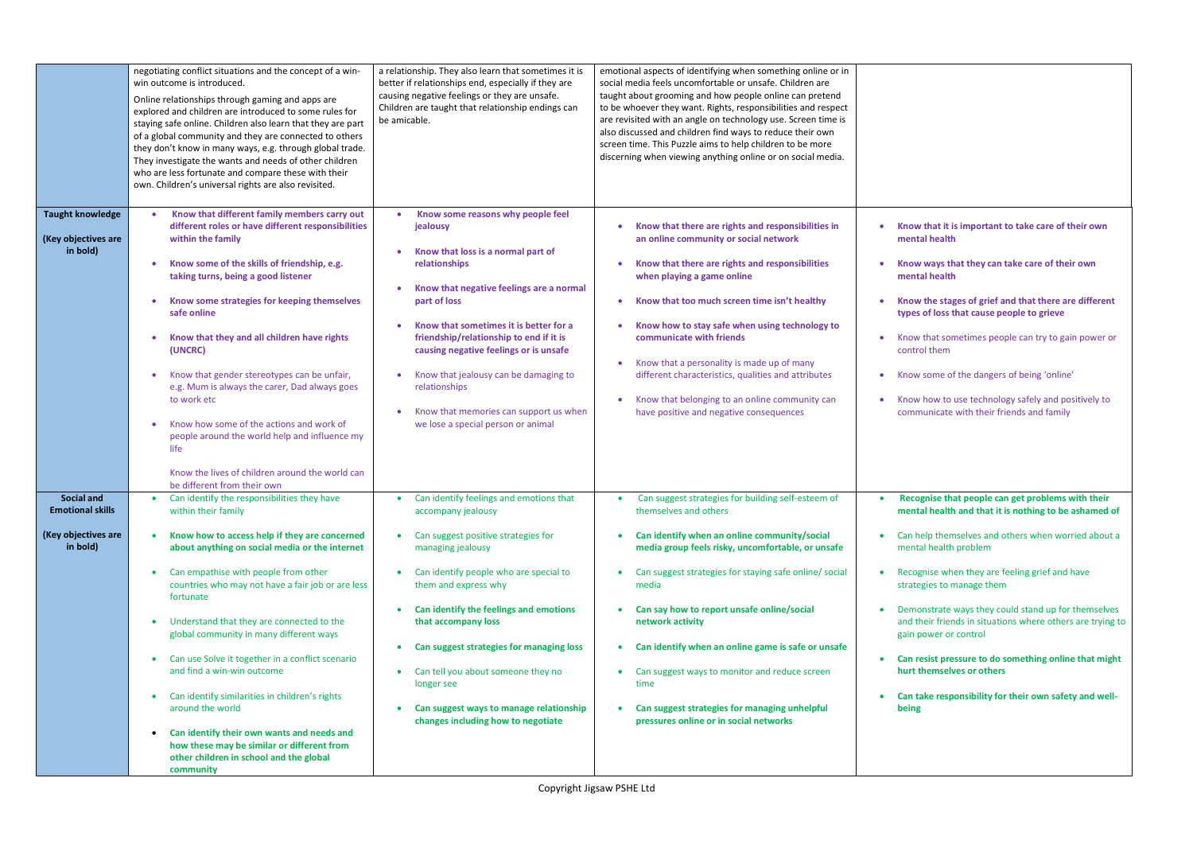|                                                                                 | negotiating conflict situations and the concept of a win-<br>win outcome is introduced.<br>Online relationships through gaming and apps are<br>explored and children are introduced to some rules for<br>staying safe online. Children also learn that they are part<br>of a global community and they are connected to others<br>they don't know in many ways, e.g. through global trade.<br>They investigate the wants and needs of other children<br>who are less fortunate and compare these with their<br>own. Children's universal rights are also revisited.                                                                                                                                                             | a relationship. They also learn that sometimes it is<br>better if relationships end, especially if they are<br>causing negative feelings or they are unsafe.<br>Children are taught that relationship endings can<br>be amicable.                                                                                                                                                                                                                                                                 | emotional aspects of identifying when something online or in<br>social media feels uncomfortable or unsafe. Children are<br>taught about grooming and how people online can pretend<br>to be whoever they want. Rights, responsibilities and respect<br>are revisited with an angle on technology use. Screen time is<br>also discussed and children find ways to reduce their own<br>screen time. This Puzzle aims to help children to be more<br>discerning when viewing anything online or on social media.                                                   |                                  |
|---------------------------------------------------------------------------------|---------------------------------------------------------------------------------------------------------------------------------------------------------------------------------------------------------------------------------------------------------------------------------------------------------------------------------------------------------------------------------------------------------------------------------------------------------------------------------------------------------------------------------------------------------------------------------------------------------------------------------------------------------------------------------------------------------------------------------|---------------------------------------------------------------------------------------------------------------------------------------------------------------------------------------------------------------------------------------------------------------------------------------------------------------------------------------------------------------------------------------------------------------------------------------------------------------------------------------------------|------------------------------------------------------------------------------------------------------------------------------------------------------------------------------------------------------------------------------------------------------------------------------------------------------------------------------------------------------------------------------------------------------------------------------------------------------------------------------------------------------------------------------------------------------------------|----------------------------------|
| <b>Taught knowledge</b><br>(Key objectives are<br>in bold)                      | Know that different family members carry out<br>$\bullet$<br>different roles or have different responsibilities<br>within the family<br>Know some of the skills of friendship, e.g.<br>$\bullet$<br>taking turns, being a good listener<br>Know some strategies for keeping themselves<br>safe online<br>Know that they and all children have rights<br>$\bullet$<br>(UNCRC)<br>Know that gender stereotypes can be unfair,<br>$\bullet$<br>e.g. Mum is always the carer, Dad always goes<br>to work etc<br>Know how some of the actions and work of<br>$\bullet$<br>people around the world help and influence my<br>life<br>Know the lives of children around the world can                                                   | Know some reasons why people feel<br>$\bullet$<br>jealousy<br>Know that loss is a normal part of<br>relationships<br>Know that negative feelings are a normal<br>part of loss<br>Know that sometimes it is better for a<br>friendship/relationship to end if it is<br>causing negative feelings or is unsafe<br>Know that jealousy can be damaging to<br>relationships<br>Know that memories can support us when<br>we lose a special person or animal                                            | Know that there are rights and responsibilities in<br>$\bullet$<br>an online community or social network<br>Know that there are rights and responsibilities<br>$\bullet$<br>when playing a game online<br>Know that too much screen time isn't healthy<br>Know how to stay safe when using technology to<br>communicate with friends<br>Know that a personality is made up of many<br>$\bullet$<br>different characteristics, qualities and attributes<br>Know that belonging to an online community can<br>$\bullet$<br>have positive and negative consequences | n<br>t۱<br>К<br>$\mathbf C$<br>c |
| <b>Social and</b><br><b>Emotional skills</b><br>(Key objectives are<br>in bold) | be different from their own<br>Can identify the responsibilities they have<br>within their family<br>Know how to access help if they are concerned<br>about anything on social media or the internet<br>Can empathise with people from other<br>$\bullet$<br>countries who may not have a fair job or are less<br>fortunate<br>Understand that they are connected to the<br>global community in many different ways<br>Can use Solve it together in a conflict scenario<br>and find a win-win outcome<br>Can identify similarities in children's rights<br>around the world<br>Can identify their own wants and needs and<br>how these may be similar or different from<br>other children in school and the global<br>community | Can identify feelings and emotions that<br>$\bullet$<br>accompany jealousy<br>Can suggest positive strategies for<br>managing jealousy<br>Can identify people who are special to<br>$\bullet$<br>them and express why<br>Can identify the feelings and emotions<br>$\bullet$<br>that accompany loss<br>Can suggest strategies for managing loss<br>Can tell you about someone they no<br>$\bullet$<br>longer see<br>Can suggest ways to manage relationship<br>changes including how to negotiate | Can suggest strategies for building self-esteem of<br>$\bullet$<br>themselves and others<br>Can identify when an online community/social<br>media group feels risky, uncomfortable, or unsafe<br>Can suggest strategies for staying safe online/ social<br>media<br>Can say how to report unsafe online/social<br>network activity<br>Can identify when an online game is safe or unsafe<br>$\bullet$<br>Can suggest ways to monitor and reduce screen<br>time<br>Can suggest strategies for managing unhelpful<br>pressures online or in social networks        |                                  |

• **Know that it is important to take care of their own mental health**  • **Know ways that they can take care of their own mental health**  • **Know the stages of grief and that there are different types of loss that cause people to grieve**  • Know that sometimes people can try to gain power or control them • Know some of the dangers of being 'online' • Know how to use technology safely and positively to communicate with their friends and family • **Recognise that people can get problems with their mental health and that it is nothing to be ashamed of**  Can help themselves and others when worried about a mental health problem Recognise when they are feeling grief and have strategies to manage them • Demonstrate ways they could stand up for themselves and their friends in situations where others are trying to gain power or control • **Can resist pressure to do something online that might hurt themselves or others**  Can take responsibility for their own safety and well**being**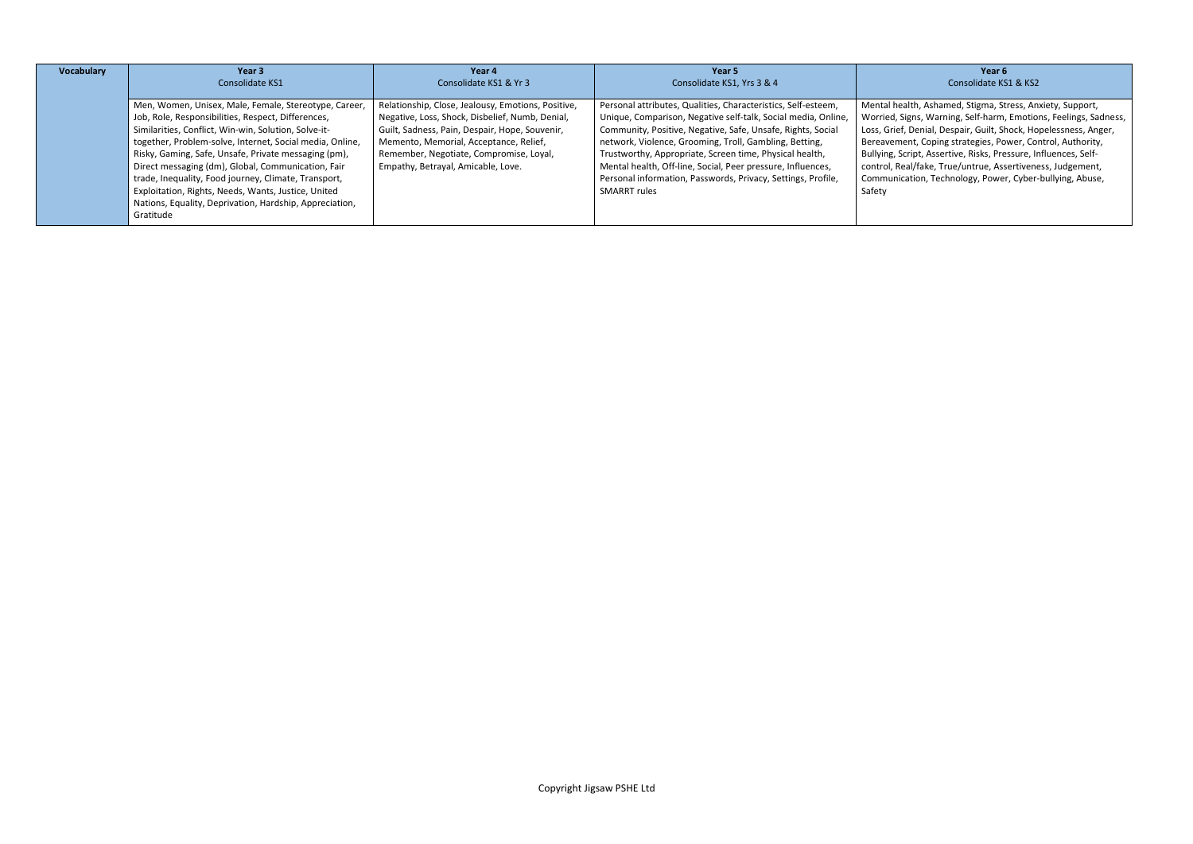# **Year 6** Consolidate KS1 & KS2

alth, Ashamed, Stigma, Stress, Anxiety, Support, Worried, Signs, Warning, Self-harm, Emotions, Feelings, Sadness, , Denial, Despair, Guilt, Shock, Hopelessness, Anger, ent, Coping strategies, Power, Control, Authority, cript, Assertive, Risks, Pressure, Influences, Selfal/fake, True/untrue, Assertiveness, Judgement, ation, Technology, Power, Cyber-bullying, Abuse,

| Vocabulary | Year 3                                                   | Year 4                                             | Year 5                                                        |              |
|------------|----------------------------------------------------------|----------------------------------------------------|---------------------------------------------------------------|--------------|
|            | Consolidate KS1                                          | Consolidate KS1 & Yr 3                             | Consolidate KS1, Yrs 3 & 4                                    |              |
|            |                                                          |                                                    |                                                               |              |
|            | Men, Women, Unisex, Male, Female, Stereotype, Career,    | Relationship, Close, Jealousy, Emotions, Positive, | Personal attributes, Qualities, Characteristics, Self-esteem, | Mental hea   |
|            | Job, Role, Responsibilities, Respect, Differences,       | Negative, Loss, Shock, Disbelief, Numb, Denial,    | Unique, Comparison, Negative self-talk, Social media, Online, | Worried, Si  |
|            | Similarities, Conflict, Win-win, Solution, Solve-it-     | Guilt, Sadness, Pain, Despair, Hope, Souvenir,     | Community, Positive, Negative, Safe, Unsafe, Rights, Social   | Loss, Grief, |
|            | together, Problem-solve, Internet, Social media, Online, | Memento, Memorial, Acceptance, Relief,             | network, Violence, Grooming, Troll, Gambling, Betting,        | Bereaveme    |
|            | Risky, Gaming, Safe, Unsafe, Private messaging (pm),     | Remember, Negotiate, Compromise, Loyal,            | Trustworthy, Appropriate, Screen time, Physical health,       | Bullying, Sc |
|            | Direct messaging (dm), Global, Communication, Fair       | Empathy, Betrayal, Amicable, Love.                 | Mental health, Off-line, Social, Peer pressure, Influences,   | control, Rea |
|            | trade, Inequality, Food journey, Climate, Transport,     |                                                    | Personal information, Passwords, Privacy, Settings, Profile,  | Communica    |
|            | Exploitation, Rights, Needs, Wants, Justice, United      |                                                    | <b>SMARRT rules</b>                                           | Safety       |
|            | Nations, Equality, Deprivation, Hardship, Appreciation,  |                                                    |                                                               |              |
|            | Gratitude                                                |                                                    |                                                               |              |
|            |                                                          |                                                    |                                                               |              |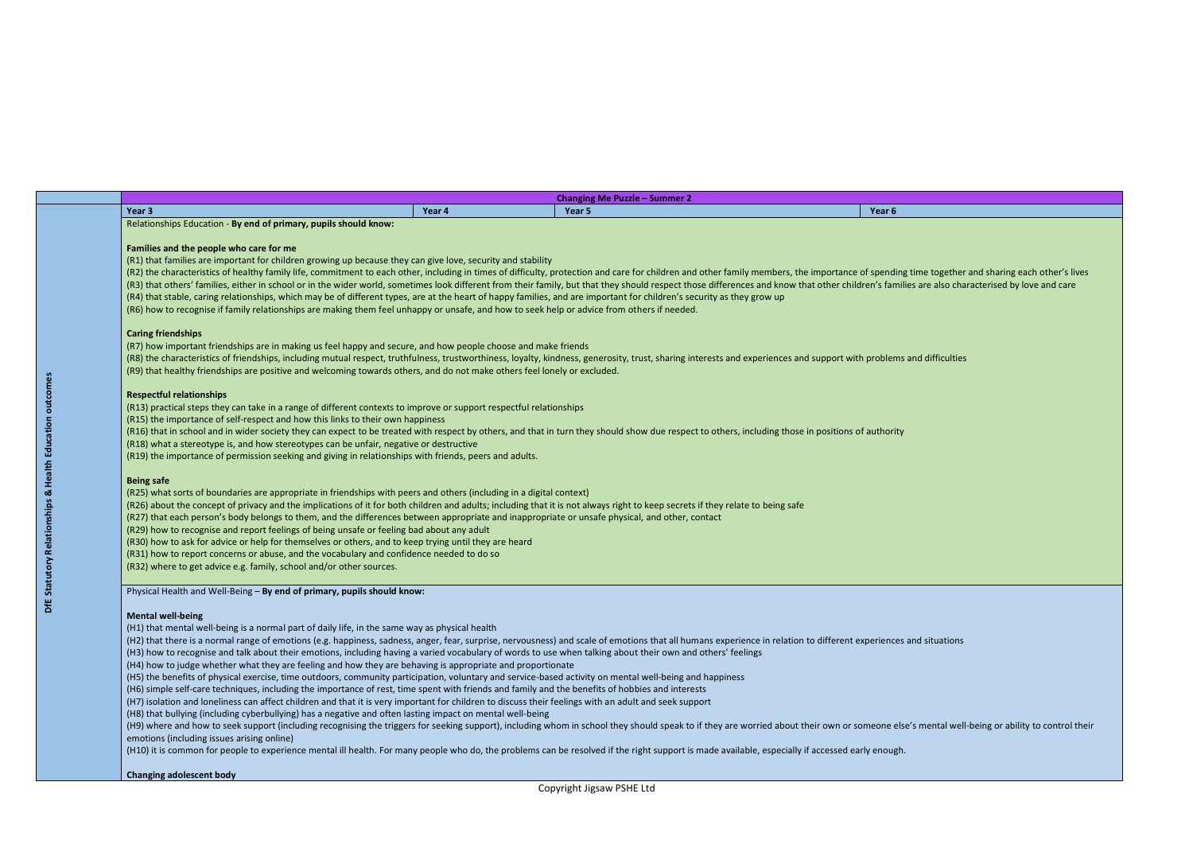**Changing Me Puzzle – Summer 2**

|                                                                                                                                                                                |        | <b>CHANGING INCLUSTS</b> SUMMER L                                                                                                                                                                                              |        |
|--------------------------------------------------------------------------------------------------------------------------------------------------------------------------------|--------|--------------------------------------------------------------------------------------------------------------------------------------------------------------------------------------------------------------------------------|--------|
| Year 3                                                                                                                                                                         | Year 4 | Year 5                                                                                                                                                                                                                         | Year 6 |
| Relationships Education - By end of primary, pupils should know:                                                                                                               |        |                                                                                                                                                                                                                                |        |
|                                                                                                                                                                                |        |                                                                                                                                                                                                                                |        |
| Families and the people who care for me                                                                                                                                        |        |                                                                                                                                                                                                                                |        |
| (R1) that families are important for children growing up because they can give love, security and stability                                                                    |        |                                                                                                                                                                                                                                |        |
|                                                                                                                                                                                |        | (R2) the characteristics of healthy family life, commitment to each other, including in times of difficulty, protection and care for children and other family members, the importance of spending time together and sharing e |        |
|                                                                                                                                                                                |        | (R3) that others' families, either in school or in the wider world, sometimes look different from their family, but that they should respect those differences and know that other children's families are also characterised  |        |
| (R4) that stable, caring relationships, which may be of different types, are at the heart of happy families, and are important for children's security as they grow up         |        |                                                                                                                                                                                                                                |        |
| (R6) how to recognise if family relationships are making them feel unhappy or unsafe, and how to seek help or advice from others if needed.                                    |        |                                                                                                                                                                                                                                |        |
| <b>Caring friendships</b>                                                                                                                                                      |        |                                                                                                                                                                                                                                |        |
|                                                                                                                                                                                |        |                                                                                                                                                                                                                                |        |
| (R7) how important friendships are in making us feel happy and secure, and how people choose and make friends                                                                  |        |                                                                                                                                                                                                                                |        |
|                                                                                                                                                                                |        | (R8) the characteristics of friendships, including mutual respect, truthfulness, trustworthiness, loyalty, kindness, generosity, trust, sharing interests and experiences and support with problems and difficulties           |        |
| (R9) that healthy friendships are positive and welcoming towards others, and do not make others feel lonely or excluded.                                                       |        |                                                                                                                                                                                                                                |        |
| <b>Respectful relationships</b>                                                                                                                                                |        |                                                                                                                                                                                                                                |        |
| (R13) practical steps they can take in a range of different contexts to improve or support respectful relationships                                                            |        |                                                                                                                                                                                                                                |        |
| (R15) the importance of self-respect and how this links to their own happiness                                                                                                 |        |                                                                                                                                                                                                                                |        |
|                                                                                                                                                                                |        | (R16) that in school and in wider society they can expect to be treated with respect by others, and that in turn they should show due respect to others, including those in positions of authority                             |        |
| (R18) what a stereotype is, and how stereotypes can be unfair, negative or destructive                                                                                         |        |                                                                                                                                                                                                                                |        |
| (R19) the importance of permission seeking and giving in relationships with friends, peers and adults.                                                                         |        |                                                                                                                                                                                                                                |        |
| <b>Being safe</b>                                                                                                                                                              |        |                                                                                                                                                                                                                                |        |
| (R25) what sorts of boundaries are appropriate in friendships with peers and others (including in a digital context)                                                           |        |                                                                                                                                                                                                                                |        |
| (R26) about the concept of privacy and the implications of it for both children and adults; including that it is not always right to keep secrets if they relate to being safe |        |                                                                                                                                                                                                                                |        |
| (R27) that each person's body belongs to them, and the differences between appropriate and inappropriate or unsafe physical, and other, contact                                |        |                                                                                                                                                                                                                                |        |
| (R29) how to recognise and report feelings of being unsafe or feeling bad about any adult                                                                                      |        |                                                                                                                                                                                                                                |        |
| (R30) how to ask for advice or help for themselves or others, and to keep trying until they are heard                                                                          |        |                                                                                                                                                                                                                                |        |
| (R31) how to report concerns or abuse, and the vocabulary and confidence needed to do so                                                                                       |        |                                                                                                                                                                                                                                |        |
| (R32) where to get advice e.g. family, school and/or other sources.                                                                                                            |        |                                                                                                                                                                                                                                |        |
|                                                                                                                                                                                |        |                                                                                                                                                                                                                                |        |
| Physical Health and Well-Being - By end of primary, pupils should know:                                                                                                        |        |                                                                                                                                                                                                                                |        |
| <b>Mental well-being</b>                                                                                                                                                       |        |                                                                                                                                                                                                                                |        |
| (H1) that mental well-being is a normal part of daily life, in the same way as physical health                                                                                 |        |                                                                                                                                                                                                                                |        |
|                                                                                                                                                                                |        | (H2) that there is a normal range of emotions (e.g. happiness, sadness, anger, fear, surprise, nervousness) and scale of emotions that all humans experience in relation to different experiences and situations               |        |
|                                                                                                                                                                                |        |                                                                                                                                                                                                                                |        |
| (H3) how to recognise and talk about their emotions, including having a varied vocabulary of words to use when talking about their own and others' feelings                    |        |                                                                                                                                                                                                                                |        |
| (H4) how to judge whether what they are feeling and how they are behaving is appropriate and proportionate                                                                     |        |                                                                                                                                                                                                                                |        |
| (H5) the benefits of physical exercise, time outdoors, community participation, voluntary and service-based activity on mental well-being and happiness                        |        |                                                                                                                                                                                                                                |        |
| (H6) simple self-care techniques, including the importance of rest, time spent with friends and family and the benefits of hobbies and interests                               |        |                                                                                                                                                                                                                                |        |
| (H7) isolation and loneliness can affect children and that it is very important for children to discuss their feelings with an adult and seek support                          |        |                                                                                                                                                                                                                                |        |
| (H8) that bullying (including cyberbullying) has a negative and often lasting impact on mental well-being                                                                      |        |                                                                                                                                                                                                                                |        |
|                                                                                                                                                                                |        | (H9) where and how to seek support (including recognising the triggers for seeking support), including whom in school they should speak to if they are worried about their own or someone else's mental well-being or ability  |        |
| emotions (including issues arising online)                                                                                                                                     |        |                                                                                                                                                                                                                                |        |
|                                                                                                                                                                                |        | (H10) it is common for people to experience mental ill health. For many people who do, the problems can be resolved if the right support is made available, especially if accessed early enough.                               |        |
|                                                                                                                                                                                |        |                                                                                                                                                                                                                                |        |

s mental well-being or ability to control their

# **Changing adolescent body**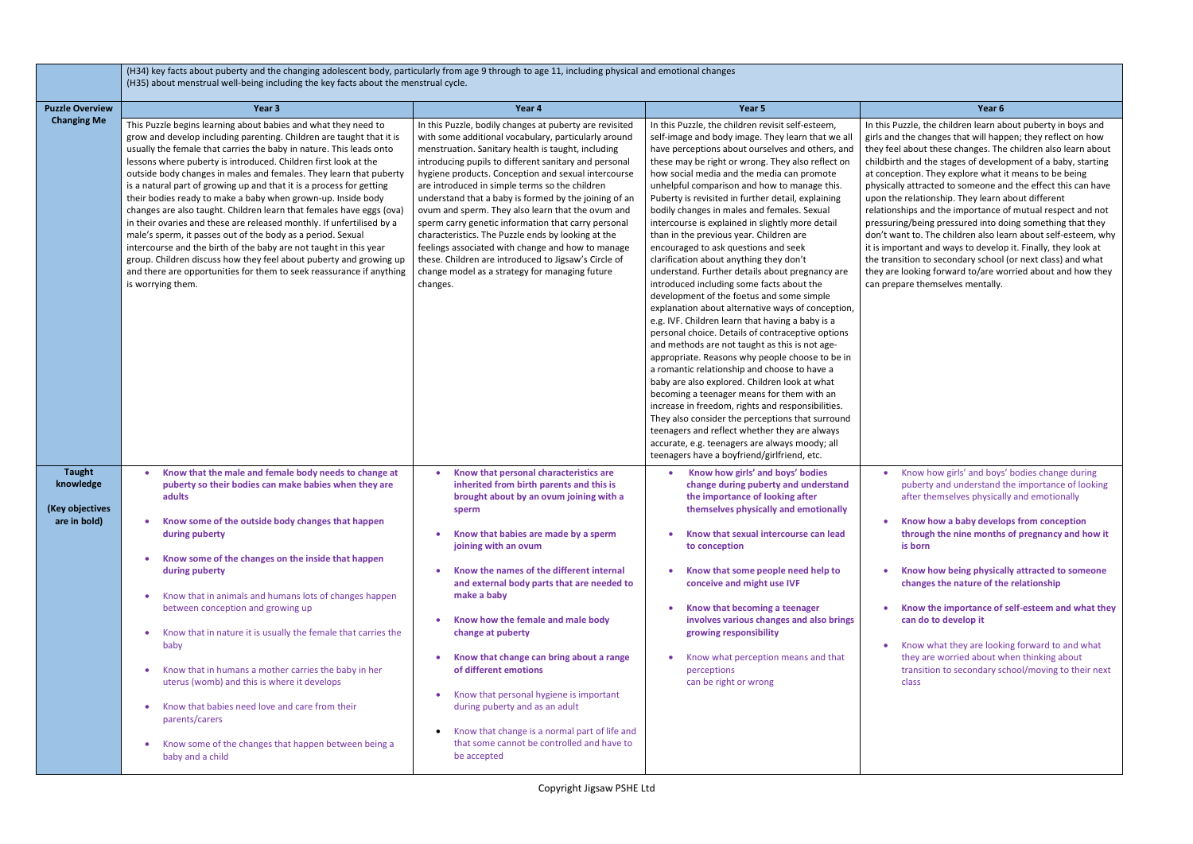uzzle, the children learn about puberty in boys and the changes that will happen; they reflect on how about these changes. The children also learn about and the stages of development of a baby, starting ption. They explore what it means to be being y attracted to someone and the effect this can have e relationship. They learn about different

hips and the importance of mutual respect and not ng/being pressured into doing something that they int to. The children also learn about self-esteem, why ortant and ways to develop it. Finally, they look at sition to secondary school (or next class) and what looking forward to/are worried about and how they are themselves mentally.

|                                                               | (H34) key facts about puberty and the changing adolescent body, particularly from age 9 through to age 11, including physical and emotional changes<br>(H35) about menstrual well-being including the key facts about the menstrual cycle.                                                                                                                                                                                                                                                                                                                                                                                                                                                                                                                                                                                                                                                                                                             |                                                                                                                                                                                                                                                                                                                                                                                                                                                                                                                                                                                                                                                                                                                                               |                                                                                                                                                                                                                                                                                                                                                                                                                                                                                                                                                                                                                                                                                                                                                                                                                                                                                                                                                                                                                                                                                                                                                                                                                                                                                                                                                                                                                                |                                                                                                                                                                                                                                                                                                                                                                                                                                                                                                                                            |
|---------------------------------------------------------------|--------------------------------------------------------------------------------------------------------------------------------------------------------------------------------------------------------------------------------------------------------------------------------------------------------------------------------------------------------------------------------------------------------------------------------------------------------------------------------------------------------------------------------------------------------------------------------------------------------------------------------------------------------------------------------------------------------------------------------------------------------------------------------------------------------------------------------------------------------------------------------------------------------------------------------------------------------|-----------------------------------------------------------------------------------------------------------------------------------------------------------------------------------------------------------------------------------------------------------------------------------------------------------------------------------------------------------------------------------------------------------------------------------------------------------------------------------------------------------------------------------------------------------------------------------------------------------------------------------------------------------------------------------------------------------------------------------------------|--------------------------------------------------------------------------------------------------------------------------------------------------------------------------------------------------------------------------------------------------------------------------------------------------------------------------------------------------------------------------------------------------------------------------------------------------------------------------------------------------------------------------------------------------------------------------------------------------------------------------------------------------------------------------------------------------------------------------------------------------------------------------------------------------------------------------------------------------------------------------------------------------------------------------------------------------------------------------------------------------------------------------------------------------------------------------------------------------------------------------------------------------------------------------------------------------------------------------------------------------------------------------------------------------------------------------------------------------------------------------------------------------------------------------------|--------------------------------------------------------------------------------------------------------------------------------------------------------------------------------------------------------------------------------------------------------------------------------------------------------------------------------------------------------------------------------------------------------------------------------------------------------------------------------------------------------------------------------------------|
| <b>Puzzle Overview</b>                                        | Year 3                                                                                                                                                                                                                                                                                                                                                                                                                                                                                                                                                                                                                                                                                                                                                                                                                                                                                                                                                 | Year 4                                                                                                                                                                                                                                                                                                                                                                                                                                                                                                                                                                                                                                                                                                                                        | Year 5                                                                                                                                                                                                                                                                                                                                                                                                                                                                                                                                                                                                                                                                                                                                                                                                                                                                                                                                                                                                                                                                                                                                                                                                                                                                                                                                                                                                                         | Year 6                                                                                                                                                                                                                                                                                                                                                                                                                                                                                                                                     |
| <b>Changing Me</b>                                            | This Puzzle begins learning about babies and what they need to<br>grow and develop including parenting. Children are taught that it is<br>usually the female that carries the baby in nature. This leads onto<br>lessons where puberty is introduced. Children first look at the<br>outside body changes in males and females. They learn that puberty<br>is a natural part of growing up and that it is a process for getting<br>their bodies ready to make a baby when grown-up. Inside body<br>changes are also taught. Children learn that females have eggs (ova)<br>in their ovaries and these are released monthly. If unfertilised by a<br>male's sperm, it passes out of the body as a period. Sexual<br>intercourse and the birth of the baby are not taught in this year<br>group. Children discuss how they feel about puberty and growing up<br>and there are opportunities for them to seek reassurance if anything<br>is worrying them. | In this Puzzle, bodily changes at puberty are revisited<br>with some additional vocabulary, particularly around<br>menstruation. Sanitary health is taught, including<br>introducing pupils to different sanitary and personal<br>hygiene products. Conception and sexual intercourse<br>are introduced in simple terms so the children<br>understand that a baby is formed by the joining of an<br>ovum and sperm. They also learn that the ovum and<br>sperm carry genetic information that carry personal<br>characteristics. The Puzzle ends by looking at the<br>feelings associated with change and how to manage<br>these. Children are introduced to Jigsaw's Circle of<br>change model as a strategy for managing future<br>changes. | In this Puzzle, the children revisit self-esteem,<br>self-image and body image. They learn that we all<br>have perceptions about ourselves and others, and<br>these may be right or wrong. They also reflect on<br>how social media and the media can promote<br>unhelpful comparison and how to manage this.<br>Puberty is revisited in further detail, explaining<br>bodily changes in males and females. Sexual<br>intercourse is explained in slightly more detail<br>than in the previous year. Children are<br>encouraged to ask questions and seek<br>clarification about anything they don't<br>understand. Further details about pregnancy are<br>introduced including some facts about the<br>development of the foetus and some simple<br>explanation about alternative ways of conception,<br>e.g. IVF. Children learn that having a baby is a<br>personal choice. Details of contraceptive options<br>and methods are not taught as this is not age-<br>appropriate. Reasons why people choose to be in<br>a romantic relationship and choose to have a<br>baby are also explored. Children look at what<br>becoming a teenager means for them with an<br>increase in freedom, rights and responsibilities.<br>They also consider the perceptions that surround<br>teenagers and reflect whether they are always<br>accurate, e.g. teenagers are always moody; all<br>teenagers have a boyfriend/girlfriend, etc. | In this Puzzle, the children learn a<br>girls and the changes that will hap<br>they feel about these changes. Th<br>childbirth and the stages of develo<br>at conception. They explore what<br>physically attracted to someone a<br>upon the relationship. They learn<br>relationships and the importance<br>pressuring/being pressured into d<br>don't want to. The children also le<br>it is important and ways to develo<br>the transition to secondary school<br>they are looking forward to/are w<br>can prepare themselves mentally. |
| <b>Taught</b><br>knowledge<br>(Key objectives<br>are in bold) | Know that the male and female body needs to change at<br>$\bullet$<br>puberty so their bodies can make babies when they are<br>adults<br>Know some of the outside body changes that happen<br>$\bullet$<br>during puberty<br>Know some of the changes on the inside that happen<br>during puberty<br>Know that in animals and humans lots of changes happen<br>$\bullet$<br>between conception and growing up<br>Know that in nature it is usually the female that carries the<br>baby<br>Know that in humans a mother carries the baby in her<br>uterus (womb) and this is where it develops<br>Know that babies need love and care from their<br>parents/carers<br>Know some of the changes that happen between being a<br>$\bullet$<br>baby and a child                                                                                                                                                                                             | Know that personal characteristics are<br>inherited from birth parents and this is<br>brought about by an ovum joining with a<br>sperm<br>Know that babies are made by a sperm<br>joining with an ovum<br>Know the names of the different internal<br>and external body parts that are needed to<br>make a baby<br>Know how the female and male body<br>change at puberty<br>Know that change can bring about a range<br>of different emotions<br>Know that personal hygiene is important<br>during puberty and as an adult<br>Know that change is a normal part of life and<br>that some cannot be controlled and have to<br>be accepted                                                                                                     | Know how girls' and boys' bodies<br>change during puberty and understand<br>the importance of looking after<br>themselves physically and emotionally<br>Know that sexual intercourse can lead<br>to conception<br>Know that some people need help to<br>conceive and might use IVF<br>Know that becoming a teenager<br>involves various changes and also brings<br>growing responsibility<br>Know what perception means and that<br>perceptions<br>can be right or wrong                                                                                                                                                                                                                                                                                                                                                                                                                                                                                                                                                                                                                                                                                                                                                                                                                                                                                                                                                       | Know how girls' and boys<br>puberty and understand<br>after themselves physica<br>Know how a baby develo<br>through the nine month:<br>is born<br><b>Know how being physica</b><br>changes the nature of th<br>Know the importance of<br>can do to develop it<br>Know what they are look<br>they are worried about w<br>transition to secondary so<br>class                                                                                                                                                                                |

• Know how girls' and boys' bodies change during puberty and understand the importance of looking after themselves physically and emotionally

• **Know how a baby develops from conception through the nine months of pregnancy and how it is born** 

• **Know how being physically attracted to someone changes the nature of the relationship**

• **Know the importance of self-esteem and what they can do to develop it** 

• Know what they are looking forward to and what they are worried about when thinking about transition to secondary school/moving to their next class